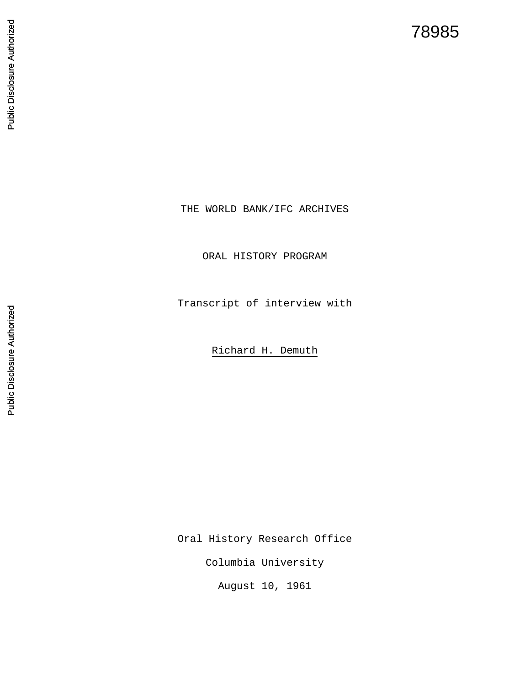## 78985

## Public Disclosure Authorized Public Disclosure Authorized

ORAL HISTORY PROGRAM

Transcript of interview with

THE WORLD BANK/IFC ARCHIVES

Richard H. Demuth

Oral History Research Office

Columbia University

August 10, 1961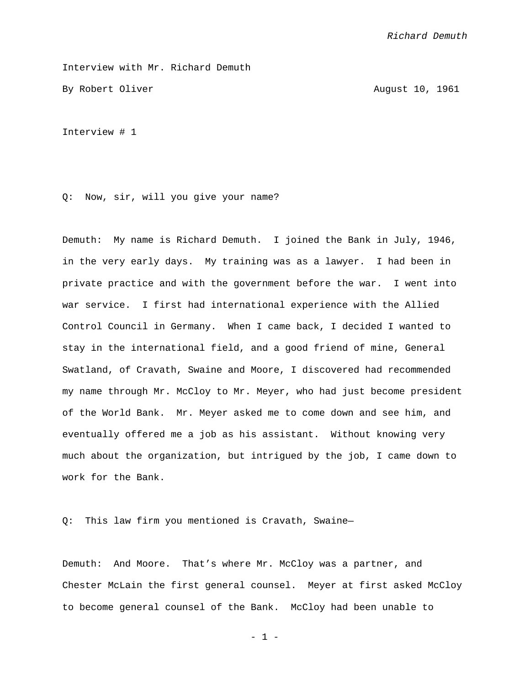Interview with Mr. Richard Demuth

By Robert Oliver August 10, 1961

Interview # 1

Q: Now, sir, will you give your name?

Demuth: My name is Richard Demuth. I joined the Bank in July, 1946, in the very early days. My training was as a lawyer. I had been in private practice and with the government before the war. I went into war service. I first had international experience with the Allied Control Council in Germany. When I came back, I decided I wanted to stay in the international field, and a good friend of mine, General Swatland, of Cravath, Swaine and Moore, I discovered had recommended my name through Mr. McCloy to Mr. Meyer, who had just become president of the World Bank. Mr. Meyer asked me to come down and see him, and eventually offered me a job as his assistant. Without knowing very much about the organization, but intrigued by the job, I came down to work for the Bank.

Q: This law firm you mentioned is Cravath, Swaine—

Demuth: And Moore. That's where Mr. McCloy was a partner, and Chester McLain the first general counsel. Meyer at first asked McCloy to become general counsel of the Bank. McCloy had been unable to

- 1 -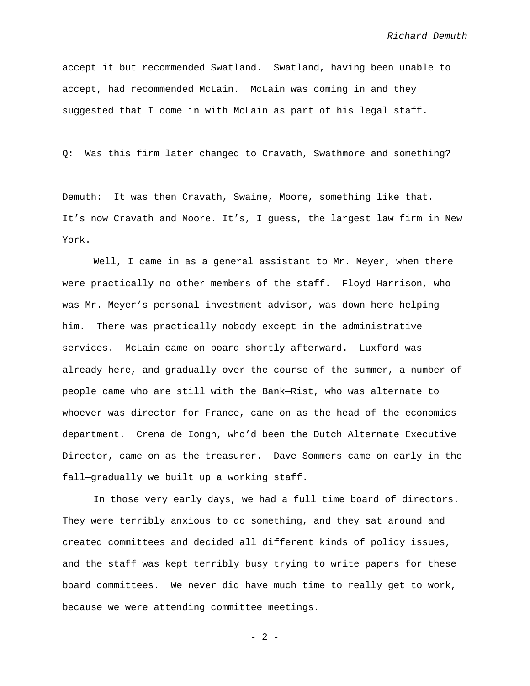accept it but recommended Swatland. Swatland, having been unable to accept, had recommended McLain. McLain was coming in and they suggested that I come in with McLain as part of his legal staff.

Q: Was this firm later changed to Cravath, Swathmore and something?

Demuth: It was then Cravath, Swaine, Moore, something like that. It's now Cravath and Moore. It's, I guess, the largest law firm in New York.

Well, I came in as a general assistant to Mr. Meyer, when there were practically no other members of the staff. Floyd Harrison, who was Mr. Meyer's personal investment advisor, was down here helping him. There was practically nobody except in the administrative services. McLain came on board shortly afterward. Luxford was already here, and gradually over the course of the summer, a number of people came who are still with the Bank—Rist, who was alternate to whoever was director for France, came on as the head of the economics department. Crena de Iongh, who'd been the Dutch Alternate Executive Director, came on as the treasurer. Dave Sommers came on early in the fall—gradually we built up a working staff.

In those very early days, we had a full time board of directors. They were terribly anxious to do something, and they sat around and created committees and decided all different kinds of policy issues, and the staff was kept terribly busy trying to write papers for these board committees. We never did have much time to really get to work, because we were attending committee meetings.

 $- 2 -$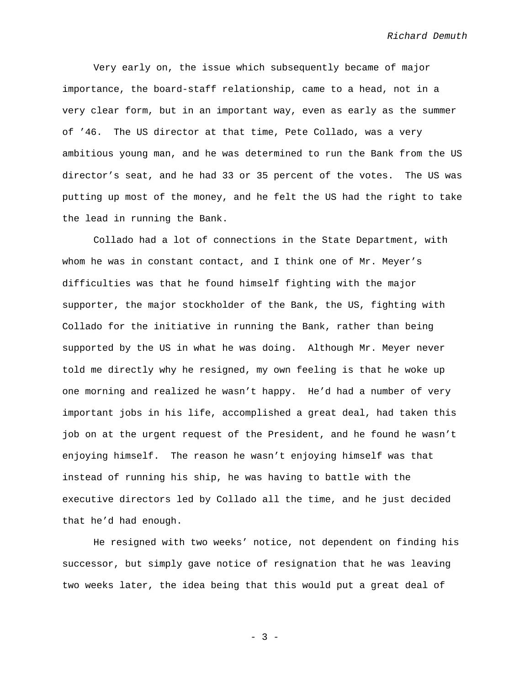Very early on, the issue which subsequently became of major importance, the board-staff relationship, came to a head, not in a very clear form, but in an important way, even as early as the summer of '46. The US director at that time, Pete Collado, was a very ambitious young man, and he was determined to run the Bank from the US director's seat, and he had 33 or 35 percent of the votes. The US was putting up most of the money, and he felt the US had the right to take the lead in running the Bank.

Collado had a lot of connections in the State Department, with whom he was in constant contact, and I think one of Mr. Meyer's difficulties was that he found himself fighting with the major supporter, the major stockholder of the Bank, the US, fighting with Collado for the initiative in running the Bank, rather than being supported by the US in what he was doing. Although Mr. Meyer never told me directly why he resigned, my own feeling is that he woke up one morning and realized he wasn't happy. He'd had a number of very important jobs in his life, accomplished a great deal, had taken this job on at the urgent request of the President, and he found he wasn't enjoying himself. The reason he wasn't enjoying himself was that instead of running his ship, he was having to battle with the executive directors led by Collado all the time, and he just decided that he'd had enough.

He resigned with two weeks' notice, not dependent on finding his successor, but simply gave notice of resignation that he was leaving two weeks later, the idea being that this would put a great deal of

- 3 -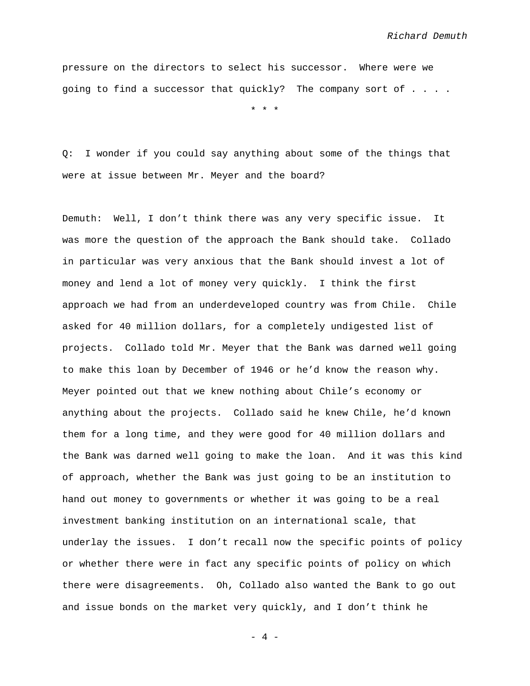pressure on the directors to select his successor. Where were we going to find a successor that quickly? The company sort of . . . .

\* \* \*

Q: I wonder if you could say anything about some of the things that were at issue between Mr. Meyer and the board?

Demuth: Well, I don't think there was any very specific issue. It was more the question of the approach the Bank should take. Collado in particular was very anxious that the Bank should invest a lot of money and lend a lot of money very quickly. I think the first approach we had from an underdeveloped country was from Chile. Chile asked for 40 million dollars, for a completely undigested list of projects. Collado told Mr. Meyer that the Bank was darned well going to make this loan by December of 1946 or he'd know the reason why. Meyer pointed out that we knew nothing about Chile's economy or anything about the projects. Collado said he knew Chile, he'd known them for a long time, and they were good for 40 million dollars and the Bank was darned well going to make the loan. And it was this kind of approach, whether the Bank was just going to be an institution to hand out money to governments or whether it was going to be a real investment banking institution on an international scale, that underlay the issues. I don't recall now the specific points of policy or whether there were in fact any specific points of policy on which there were disagreements. Oh, Collado also wanted the Bank to go out and issue bonds on the market very quickly, and I don't think he

- 4 -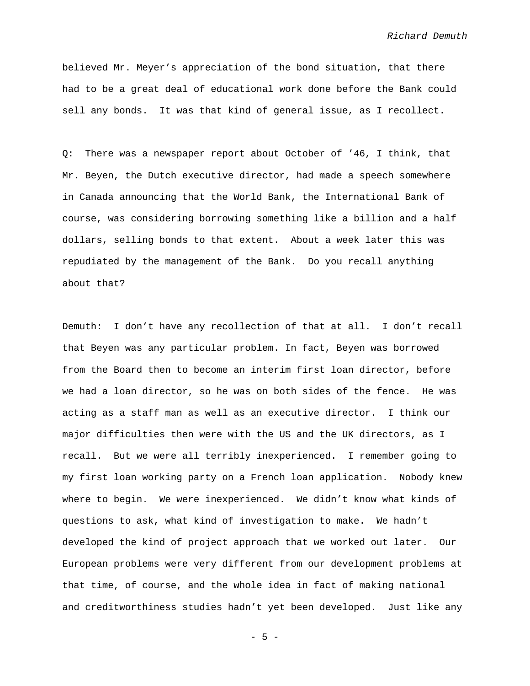believed Mr. Meyer's appreciation of the bond situation, that there had to be a great deal of educational work done before the Bank could sell any bonds. It was that kind of general issue, as I recollect.

Q: There was a newspaper report about October of '46, I think, that Mr. Beyen, the Dutch executive director, had made a speech somewhere in Canada announcing that the World Bank, the International Bank of course, was considering borrowing something like a billion and a half dollars, selling bonds to that extent. About a week later this was repudiated by the management of the Bank. Do you recall anything about that?

Demuth: I don't have any recollection of that at all. I don't recall that Beyen was any particular problem. In fact, Beyen was borrowed from the Board then to become an interim first loan director, before we had a loan director, so he was on both sides of the fence. He was acting as a staff man as well as an executive director. I think our major difficulties then were with the US and the UK directors, as I recall. But we were all terribly inexperienced. I remember going to my first loan working party on a French loan application. Nobody knew where to begin. We were inexperienced. We didn't know what kinds of questions to ask, what kind of investigation to make. We hadn't developed the kind of project approach that we worked out later. Our European problems were very different from our development problems at that time, of course, and the whole idea in fact of making national and creditworthiness studies hadn't yet been developed. Just like any

- 5 -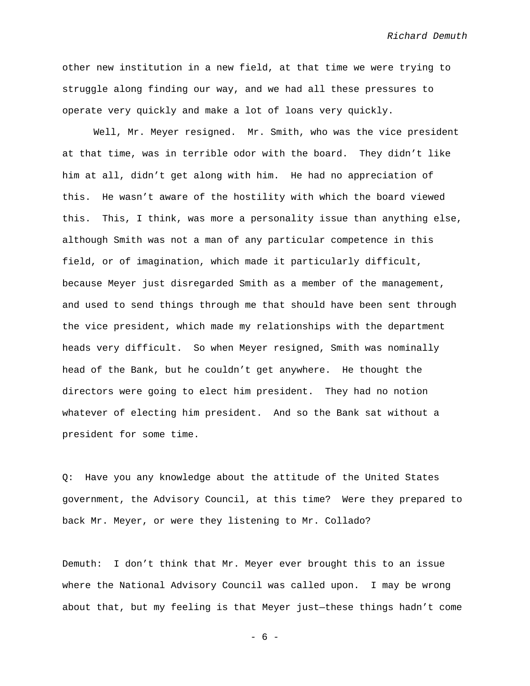other new institution in a new field, at that time we were trying to struggle along finding our way, and we had all these pressures to operate very quickly and make a lot of loans very quickly.

Well, Mr. Meyer resigned. Mr. Smith, who was the vice president at that time, was in terrible odor with the board. They didn't like him at all, didn't get along with him. He had no appreciation of this. He wasn't aware of the hostility with which the board viewed this. This, I think, was more a personality issue than anything else, although Smith was not a man of any particular competence in this field, or of imagination, which made it particularly difficult, because Meyer just disregarded Smith as a member of the management, and used to send things through me that should have been sent through the vice president, which made my relationships with the department heads very difficult. So when Meyer resigned, Smith was nominally head of the Bank, but he couldn't get anywhere. He thought the directors were going to elect him president. They had no notion whatever of electing him president. And so the Bank sat without a president for some time.

Q: Have you any knowledge about the attitude of the United States government, the Advisory Council, at this time? Were they prepared to back Mr. Meyer, or were they listening to Mr. Collado?

Demuth: I don't think that Mr. Meyer ever brought this to an issue where the National Advisory Council was called upon. I may be wrong about that, but my feeling is that Meyer just—these things hadn't come

- 6 -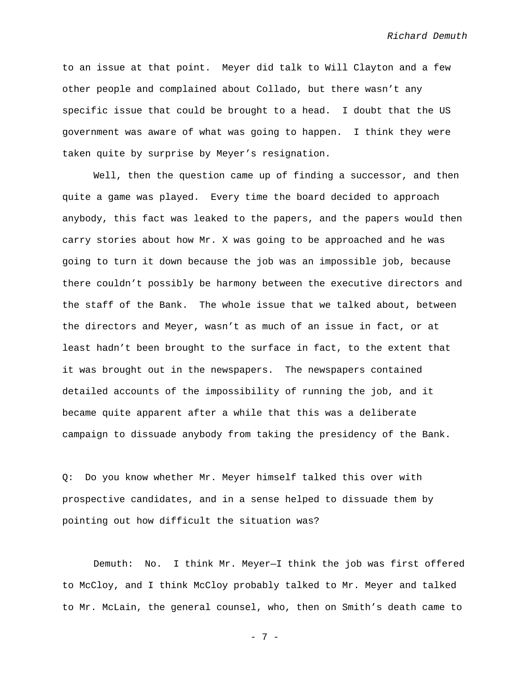to an issue at that point. Meyer did talk to Will Clayton and a few other people and complained about Collado, but there wasn't any specific issue that could be brought to a head. I doubt that the US government was aware of what was going to happen. I think they were taken quite by surprise by Meyer's resignation.

Well, then the question came up of finding a successor, and then quite a game was played. Every time the board decided to approach anybody, this fact was leaked to the papers, and the papers would then carry stories about how Mr. X was going to be approached and he was going to turn it down because the job was an impossible job, because there couldn't possibly be harmony between the executive directors and the staff of the Bank. The whole issue that we talked about, between the directors and Meyer, wasn't as much of an issue in fact, or at least hadn't been brought to the surface in fact, to the extent that it was brought out in the newspapers. The newspapers contained detailed accounts of the impossibility of running the job, and it became quite apparent after a while that this was a deliberate campaign to dissuade anybody from taking the presidency of the Bank.

Q: Do you know whether Mr. Meyer himself talked this over with prospective candidates, and in a sense helped to dissuade them by pointing out how difficult the situation was?

Demuth: No. I think Mr. Meyer—I think the job was first offered to McCloy, and I think McCloy probably talked to Mr. Meyer and talked to Mr. McLain, the general counsel, who, then on Smith's death came to

- 7 -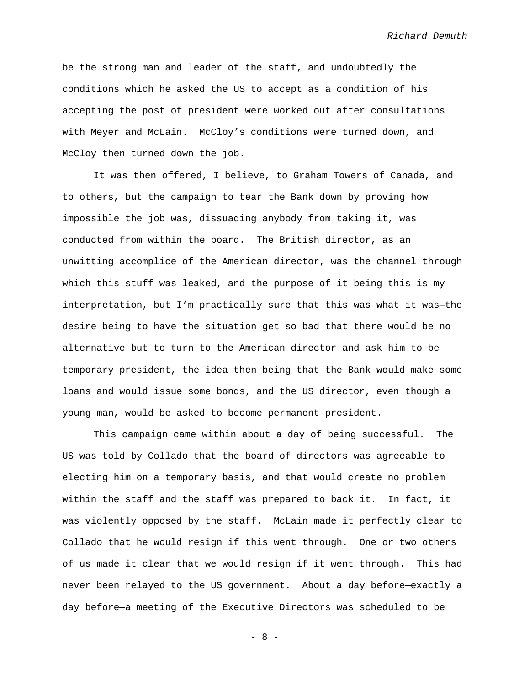be the strong man and leader of the staff, and undoubtedly the conditions which he asked the US to accept as a condition of his accepting the post of president were worked out after consultations with Meyer and McLain. McCloy's conditions were turned down, and McCloy then turned down the job.

It was then offered, I believe, to Graham Towers of Canada, and to others, but the campaign to tear the Bank down by proving how impossible the job was, dissuading anybody from taking it, was conducted from within the board. The British director, as an unwitting accomplice of the American director, was the channel through which this stuff was leaked, and the purpose of it being—this is my interpretation, but I'm practically sure that this was what it was—the desire being to have the situation get so bad that there would be no alternative but to turn to the American director and ask him to be temporary president, the idea then being that the Bank would make some loans and would issue some bonds, and the US director, even though a young man, would be asked to become permanent president.

This campaign came within about a day of being successful. The US was told by Collado that the board of directors was agreeable to electing him on a temporary basis, and that would create no problem within the staff and the staff was prepared to back it. In fact, it was violently opposed by the staff. McLain made it perfectly clear to Collado that he would resign if this went through. One or two others of us made it clear that we would resign if it went through. This had never been relayed to the US government. About a day before—exactly a day before—a meeting of the Executive Directors was scheduled to be

- 8 -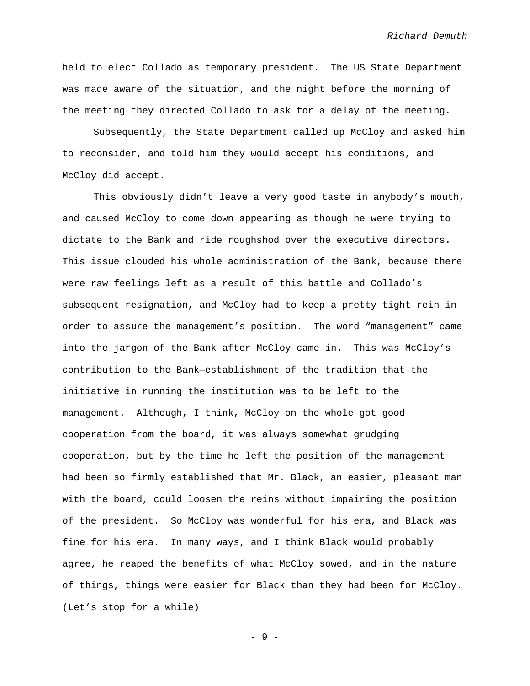held to elect Collado as temporary president. The US State Department was made aware of the situation, and the night before the morning of the meeting they directed Collado to ask for a delay of the meeting.

Subsequently, the State Department called up McCloy and asked him to reconsider, and told him they would accept his conditions, and McCloy did accept.

This obviously didn't leave a very good taste in anybody's mouth, and caused McCloy to come down appearing as though he were trying to dictate to the Bank and ride roughshod over the executive directors. This issue clouded his whole administration of the Bank, because there were raw feelings left as a result of this battle and Collado's subsequent resignation, and McCloy had to keep a pretty tight rein in order to assure the management's position. The word "management" came into the jargon of the Bank after McCloy came in. This was McCloy's contribution to the Bank—establishment of the tradition that the initiative in running the institution was to be left to the management. Although, I think, McCloy on the whole got good cooperation from the board, it was always somewhat grudging cooperation, but by the time he left the position of the management had been so firmly established that Mr. Black, an easier, pleasant man with the board, could loosen the reins without impairing the position of the president. So McCloy was wonderful for his era, and Black was fine for his era. In many ways, and I think Black would probably agree, he reaped the benefits of what McCloy sowed, and in the nature of things, things were easier for Black than they had been for McCloy. (Let's stop for a while)

- 9 -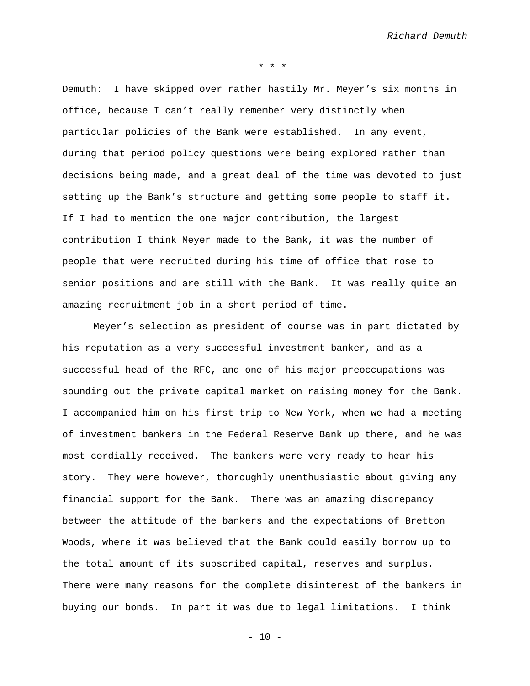\* \* \*

Demuth: I have skipped over rather hastily Mr. Meyer's six months in office, because I can't really remember very distinctly when particular policies of the Bank were established. In any event, during that period policy questions were being explored rather than decisions being made, and a great deal of the time was devoted to just setting up the Bank's structure and getting some people to staff it. If I had to mention the one major contribution, the largest contribution I think Meyer made to the Bank, it was the number of people that were recruited during his time of office that rose to senior positions and are still with the Bank. It was really quite an amazing recruitment job in a short period of time.

Meyer's selection as president of course was in part dictated by his reputation as a very successful investment banker, and as a successful head of the RFC, and one of his major preoccupations was sounding out the private capital market on raising money for the Bank. I accompanied him on his first trip to New York, when we had a meeting of investment bankers in the Federal Reserve Bank up there, and he was most cordially received. The bankers were very ready to hear his story. They were however, thoroughly unenthusiastic about giving any financial support for the Bank. There was an amazing discrepancy between the attitude of the bankers and the expectations of Bretton Woods, where it was believed that the Bank could easily borrow up to the total amount of its subscribed capital, reserves and surplus. There were many reasons for the complete disinterest of the bankers in buying our bonds. In part it was due to legal limitations. I think

 $- 10 -$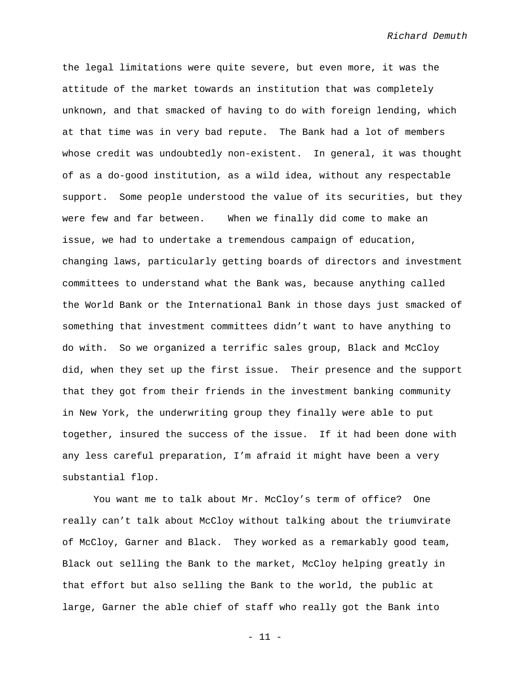the legal limitations were quite severe, but even more, it was the attitude of the market towards an institution that was completely unknown, and that smacked of having to do with foreign lending, which at that time was in very bad repute. The Bank had a lot of members whose credit was undoubtedly non-existent. In general, it was thought of as a do-good institution, as a wild idea, without any respectable support. Some people understood the value of its securities, but they were few and far between. When we finally did come to make an issue, we had to undertake a tremendous campaign of education, changing laws, particularly getting boards of directors and investment committees to understand what the Bank was, because anything called the World Bank or the International Bank in those days just smacked of something that investment committees didn't want to have anything to do with. So we organized a terrific sales group, Black and McCloy did, when they set up the first issue. Their presence and the support that they got from their friends in the investment banking community in New York, the underwriting group they finally were able to put together, insured the success of the issue. If it had been done with any less careful preparation, I'm afraid it might have been a very substantial flop.

You want me to talk about Mr. McCloy's term of office? One really can't talk about McCloy without talking about the triumvirate of McCloy, Garner and Black. They worked as a remarkably good team, Black out selling the Bank to the market, McCloy helping greatly in that effort but also selling the Bank to the world, the public at large, Garner the able chief of staff who really got the Bank into

- 11 -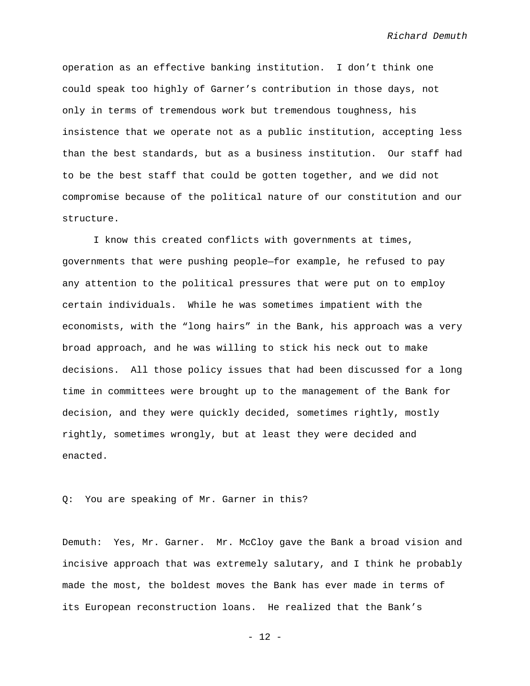operation as an effective banking institution. I don't think one could speak too highly of Garner's contribution in those days, not only in terms of tremendous work but tremendous toughness, his insistence that we operate not as a public institution, accepting less than the best standards, but as a business institution. Our staff had to be the best staff that could be gotten together, and we did not compromise because of the political nature of our constitution and our structure.

I know this created conflicts with governments at times, governments that were pushing people—for example, he refused to pay any attention to the political pressures that were put on to employ certain individuals. While he was sometimes impatient with the economists, with the "long hairs" in the Bank, his approach was a very broad approach, and he was willing to stick his neck out to make decisions. All those policy issues that had been discussed for a long time in committees were brought up to the management of the Bank for decision, and they were quickly decided, sometimes rightly, mostly rightly, sometimes wrongly, but at least they were decided and enacted.

Q: You are speaking of Mr. Garner in this?

Demuth: Yes, Mr. Garner. Mr. McCloy gave the Bank a broad vision and incisive approach that was extremely salutary, and I think he probably made the most, the boldest moves the Bank has ever made in terms of its European reconstruction loans. He realized that the Bank's

- 12 -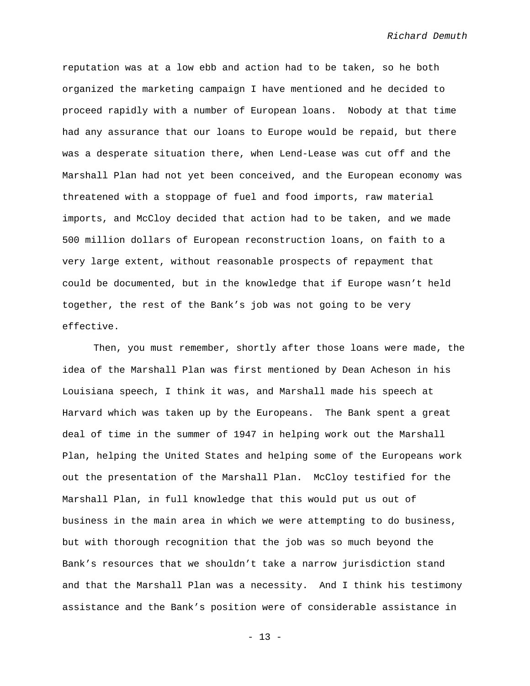reputation was at a low ebb and action had to be taken, so he both organized the marketing campaign I have mentioned and he decided to proceed rapidly with a number of European loans. Nobody at that time had any assurance that our loans to Europe would be repaid, but there was a desperate situation there, when Lend-Lease was cut off and the Marshall Plan had not yet been conceived, and the European economy was threatened with a stoppage of fuel and food imports, raw material imports, and McCloy decided that action had to be taken, and we made 500 million dollars of European reconstruction loans, on faith to a very large extent, without reasonable prospects of repayment that could be documented, but in the knowledge that if Europe wasn't held together, the rest of the Bank's job was not going to be very effective.

Then, you must remember, shortly after those loans were made, the idea of the Marshall Plan was first mentioned by Dean Acheson in his Louisiana speech, I think it was, and Marshall made his speech at Harvard which was taken up by the Europeans. The Bank spent a great deal of time in the summer of 1947 in helping work out the Marshall Plan, helping the United States and helping some of the Europeans work out the presentation of the Marshall Plan. McCloy testified for the Marshall Plan, in full knowledge that this would put us out of business in the main area in which we were attempting to do business, but with thorough recognition that the job was so much beyond the Bank's resources that we shouldn't take a narrow jurisdiction stand and that the Marshall Plan was a necessity. And I think his testimony assistance and the Bank's position were of considerable assistance in

- 13 -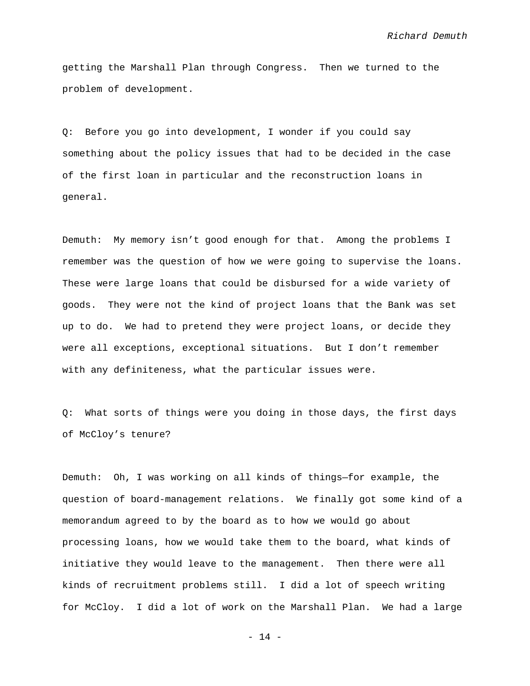getting the Marshall Plan through Congress. Then we turned to the problem of development.

Q: Before you go into development, I wonder if you could say something about the policy issues that had to be decided in the case of the first loan in particular and the reconstruction loans in general.

Demuth: My memory isn't good enough for that. Among the problems I remember was the question of how we were going to supervise the loans. These were large loans that could be disbursed for a wide variety of goods. They were not the kind of project loans that the Bank was set up to do. We had to pretend they were project loans, or decide they were all exceptions, exceptional situations. But I don't remember with any definiteness, what the particular issues were.

Q: What sorts of things were you doing in those days, the first days of McCloy's tenure?

Demuth: Oh, I was working on all kinds of things—for example, the question of board-management relations. We finally got some kind of a memorandum agreed to by the board as to how we would go about processing loans, how we would take them to the board, what kinds of initiative they would leave to the management. Then there were all kinds of recruitment problems still. I did a lot of speech writing for McCloy. I did a lot of work on the Marshall Plan. We had a large

 $- 14 -$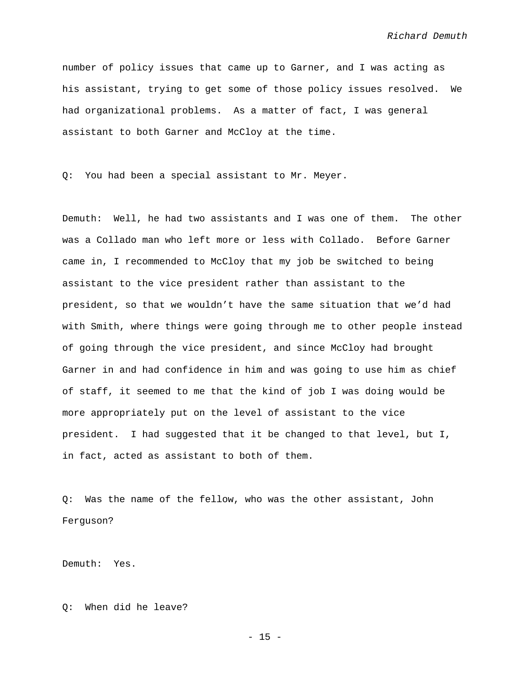number of policy issues that came up to Garner, and I was acting as his assistant, trying to get some of those policy issues resolved. We had organizational problems. As a matter of fact, I was general assistant to both Garner and McCloy at the time.

Q: You had been a special assistant to Mr. Meyer.

Demuth: Well, he had two assistants and I was one of them. The other was a Collado man who left more or less with Collado. Before Garner came in, I recommended to McCloy that my job be switched to being assistant to the vice president rather than assistant to the president, so that we wouldn't have the same situation that we'd had with Smith, where things were going through me to other people instead of going through the vice president, and since McCloy had brought Garner in and had confidence in him and was going to use him as chief of staff, it seemed to me that the kind of job I was doing would be more appropriately put on the level of assistant to the vice president. I had suggested that it be changed to that level, but I, in fact, acted as assistant to both of them.

Q: Was the name of the fellow, who was the other assistant, John Ferguson?

Demuth: Yes.

Q: When did he leave?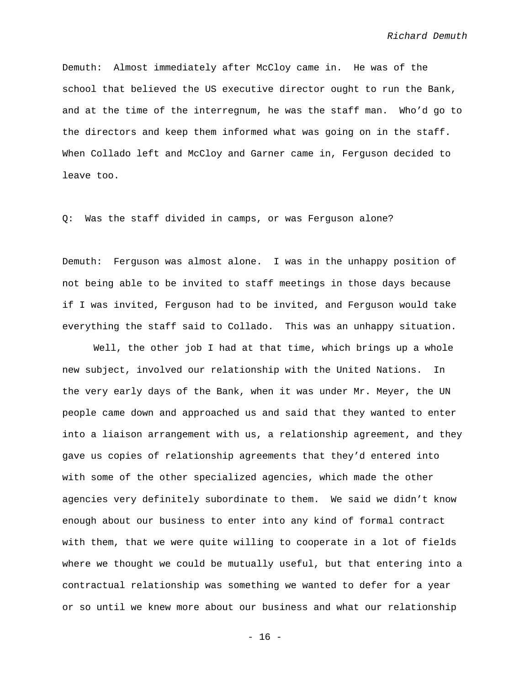Demuth: Almost immediately after McCloy came in. He was of the school that believed the US executive director ought to run the Bank, and at the time of the interregnum, he was the staff man. Who'd go to the directors and keep them informed what was going on in the staff. When Collado left and McCloy and Garner came in, Ferguson decided to leave too.

Q: Was the staff divided in camps, or was Ferguson alone?

Demuth: Ferguson was almost alone. I was in the unhappy position of not being able to be invited to staff meetings in those days because if I was invited, Ferguson had to be invited, and Ferguson would take everything the staff said to Collado. This was an unhappy situation.

Well, the other job I had at that time, which brings up a whole new subject, involved our relationship with the United Nations. In the very early days of the Bank, when it was under Mr. Meyer, the UN people came down and approached us and said that they wanted to enter into a liaison arrangement with us, a relationship agreement, and they gave us copies of relationship agreements that they'd entered into with some of the other specialized agencies, which made the other agencies very definitely subordinate to them. We said we didn't know enough about our business to enter into any kind of formal contract with them, that we were quite willing to cooperate in a lot of fields where we thought we could be mutually useful, but that entering into a contractual relationship was something we wanted to defer for a year or so until we knew more about our business and what our relationship

- 16 -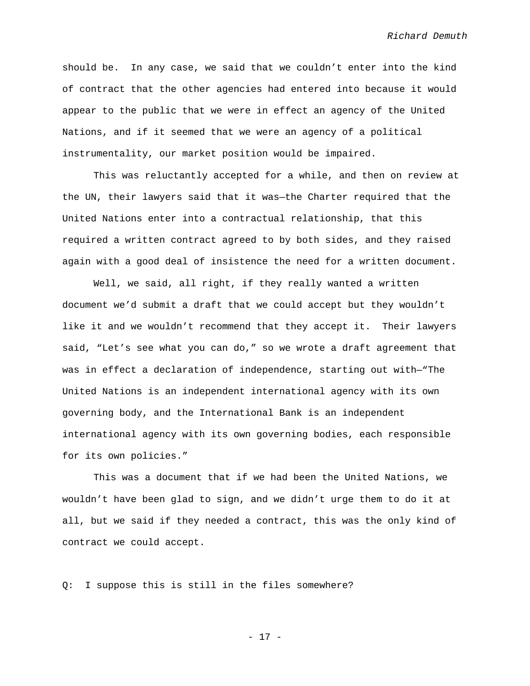should be. In any case, we said that we couldn't enter into the kind of contract that the other agencies had entered into because it would appear to the public that we were in effect an agency of the United Nations, and if it seemed that we were an agency of a political instrumentality, our market position would be impaired.

This was reluctantly accepted for a while, and then on review at the UN, their lawyers said that it was—the Charter required that the United Nations enter into a contractual relationship, that this required a written contract agreed to by both sides, and they raised again with a good deal of insistence the need for a written document.

Well, we said, all right, if they really wanted a written document we'd submit a draft that we could accept but they wouldn't like it and we wouldn't recommend that they accept it. Their lawyers said, "Let's see what you can do," so we wrote a draft agreement that was in effect a declaration of independence, starting out with—"The United Nations is an independent international agency with its own governing body, and the International Bank is an independent international agency with its own governing bodies, each responsible for its own policies."

This was a document that if we had been the United Nations, we wouldn't have been glad to sign, and we didn't urge them to do it at all, but we said if they needed a contract, this was the only kind of contract we could accept.

Q: I suppose this is still in the files somewhere?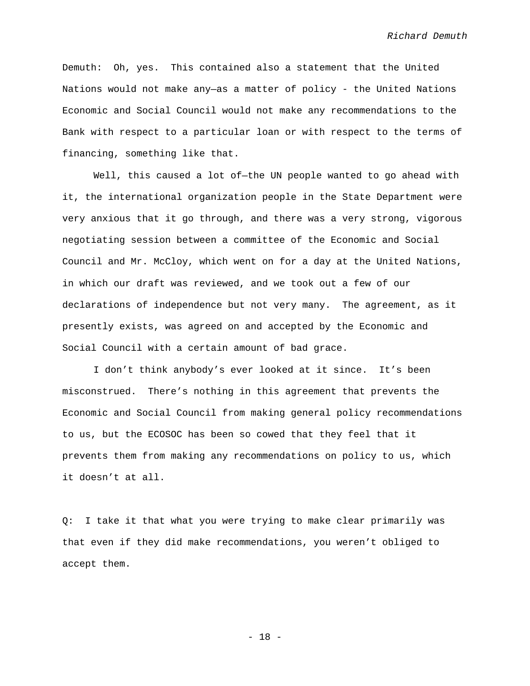Demuth: Oh, yes. This contained also a statement that the United Nations would not make any—as a matter of policy - the United Nations Economic and Social Council would not make any recommendations to the Bank with respect to a particular loan or with respect to the terms of financing, something like that.

Well, this caused a lot of—the UN people wanted to go ahead with it, the international organization people in the State Department were very anxious that it go through, and there was a very strong, vigorous negotiating session between a committee of the Economic and Social Council and Mr. McCloy, which went on for a day at the United Nations, in which our draft was reviewed, and we took out a few of our declarations of independence but not very many. The agreement, as it presently exists, was agreed on and accepted by the Economic and Social Council with a certain amount of bad grace.

I don't think anybody's ever looked at it since. It's been misconstrued. There's nothing in this agreement that prevents the Economic and Social Council from making general policy recommendations to us, but the ECOSOC has been so cowed that they feel that it prevents them from making any recommendations on policy to us, which it doesn't at all.

Q: I take it that what you were trying to make clear primarily was that even if they did make recommendations, you weren't obliged to accept them.

- 18 -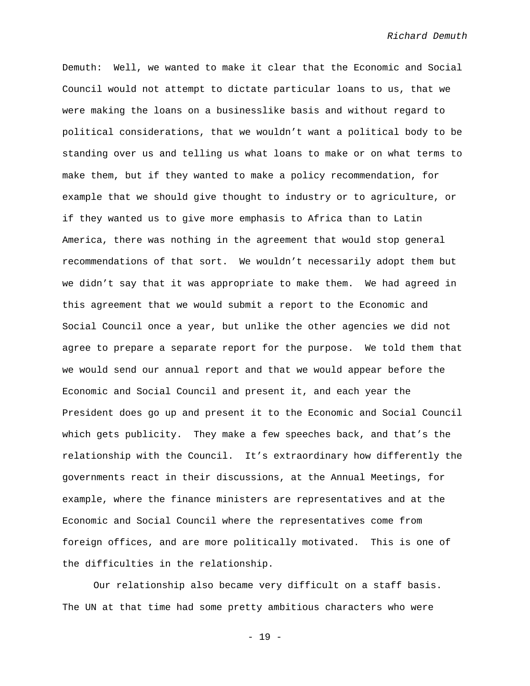Demuth: Well, we wanted to make it clear that the Economic and Social Council would not attempt to dictate particular loans to us, that we were making the loans on a businesslike basis and without regard to political considerations, that we wouldn't want a political body to be standing over us and telling us what loans to make or on what terms to make them, but if they wanted to make a policy recommendation, for example that we should give thought to industry or to agriculture, or if they wanted us to give more emphasis to Africa than to Latin America, there was nothing in the agreement that would stop general recommendations of that sort. We wouldn't necessarily adopt them but we didn't say that it was appropriate to make them. We had agreed in this agreement that we would submit a report to the Economic and Social Council once a year, but unlike the other agencies we did not agree to prepare a separate report for the purpose. We told them that we would send our annual report and that we would appear before the Economic and Social Council and present it, and each year the President does go up and present it to the Economic and Social Council which gets publicity. They make a few speeches back, and that's the relationship with the Council. It's extraordinary how differently the governments react in their discussions, at the Annual Meetings, for example, where the finance ministers are representatives and at the Economic and Social Council where the representatives come from foreign offices, and are more politically motivated. This is one of the difficulties in the relationship.

Our relationship also became very difficult on a staff basis. The UN at that time had some pretty ambitious characters who were

- 19 -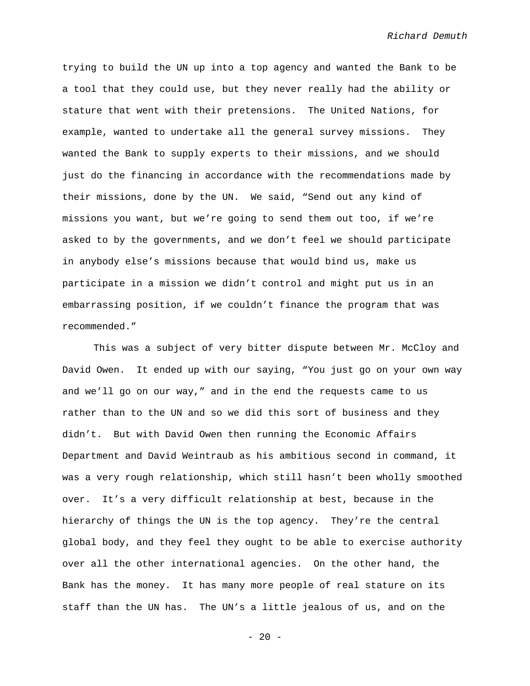trying to build the UN up into a top agency and wanted the Bank to be a tool that they could use, but they never really had the ability or stature that went with their pretensions. The United Nations, for example, wanted to undertake all the general survey missions. They wanted the Bank to supply experts to their missions, and we should just do the financing in accordance with the recommendations made by their missions, done by the UN. We said, "Send out any kind of missions you want, but we're going to send them out too, if we're asked to by the governments, and we don't feel we should participate in anybody else's missions because that would bind us, make us participate in a mission we didn't control and might put us in an embarrassing position, if we couldn't finance the program that was recommended."

This was a subject of very bitter dispute between Mr. McCloy and David Owen. It ended up with our saying, "You just go on your own way and we'll go on our way," and in the end the requests came to us rather than to the UN and so we did this sort of business and they didn't. But with David Owen then running the Economic Affairs Department and David Weintraub as his ambitious second in command, it was a very rough relationship, which still hasn't been wholly smoothed over. It's a very difficult relationship at best, because in the hierarchy of things the UN is the top agency. They're the central global body, and they feel they ought to be able to exercise authority over all the other international agencies. On the other hand, the Bank has the money. It has many more people of real stature on its staff than the UN has. The UN's a little jealous of us, and on the

 $- 20 -$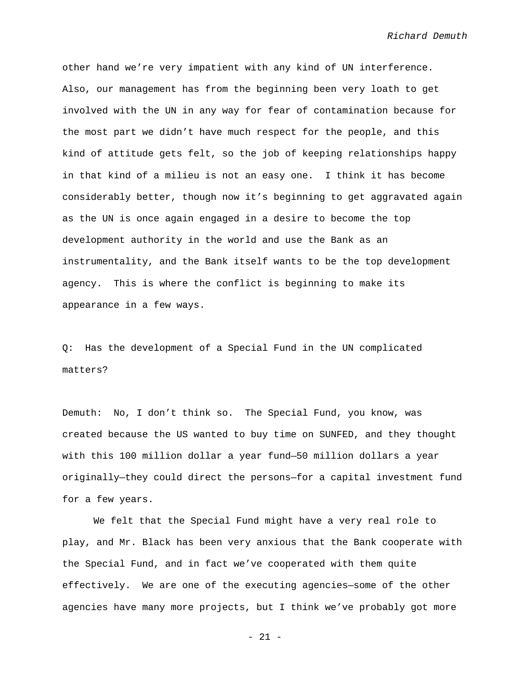other hand we're very impatient with any kind of UN interference. Also, our management has from the beginning been very loath to get involved with the UN in any way for fear of contamination because for the most part we didn't have much respect for the people, and this kind of attitude gets felt, so the job of keeping relationships happy in that kind of a milieu is not an easy one. I think it has become considerably better, though now it's beginning to get aggravated again as the UN is once again engaged in a desire to become the top development authority in the world and use the Bank as an instrumentality, and the Bank itself wants to be the top development agency. This is where the conflict is beginning to make its appearance in a few ways.

Q: Has the development of a Special Fund in the UN complicated matters?

Demuth: No, I don't think so. The Special Fund, you know, was created because the US wanted to buy time on SUNFED, and they thought with this 100 million dollar a year fund—50 million dollars a year originally—they could direct the persons—for a capital investment fund for a few years.

We felt that the Special Fund might have a very real role to play, and Mr. Black has been very anxious that the Bank cooperate with the Special Fund, and in fact we've cooperated with them quite effectively. We are one of the executing agencies—some of the other agencies have many more projects, but I think we've probably got more

 $- 21 -$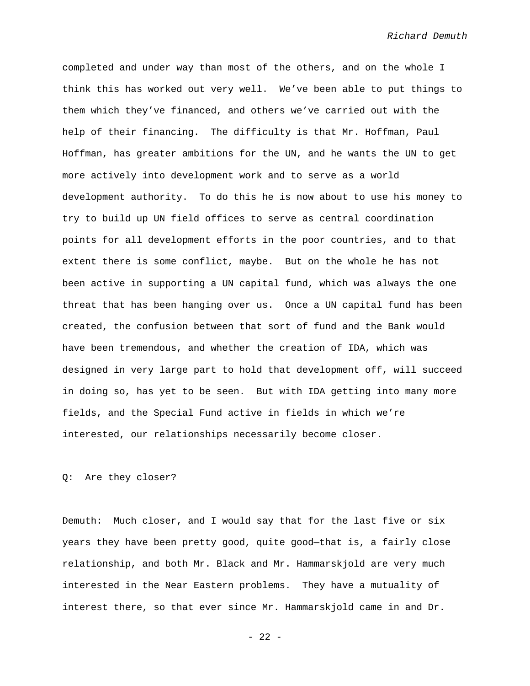completed and under way than most of the others, and on the whole I think this has worked out very well. We've been able to put things to them which they've financed, and others we've carried out with the help of their financing. The difficulty is that Mr. Hoffman, Paul Hoffman, has greater ambitions for the UN, and he wants the UN to get more actively into development work and to serve as a world development authority. To do this he is now about to use his money to try to build up UN field offices to serve as central coordination points for all development efforts in the poor countries, and to that extent there is some conflict, maybe. But on the whole he has not been active in supporting a UN capital fund, which was always the one threat that has been hanging over us. Once a UN capital fund has been created, the confusion between that sort of fund and the Bank would have been tremendous, and whether the creation of IDA, which was designed in very large part to hold that development off, will succeed in doing so, has yet to be seen. But with IDA getting into many more fields, and the Special Fund active in fields in which we're interested, our relationships necessarily become closer.

Q: Are they closer?

Demuth: Much closer, and I would say that for the last five or six years they have been pretty good, quite good—that is, a fairly close relationship, and both Mr. Black and Mr. Hammarskjold are very much interested in the Near Eastern problems. They have a mutuality of interest there, so that ever since Mr. Hammarskjold came in and Dr.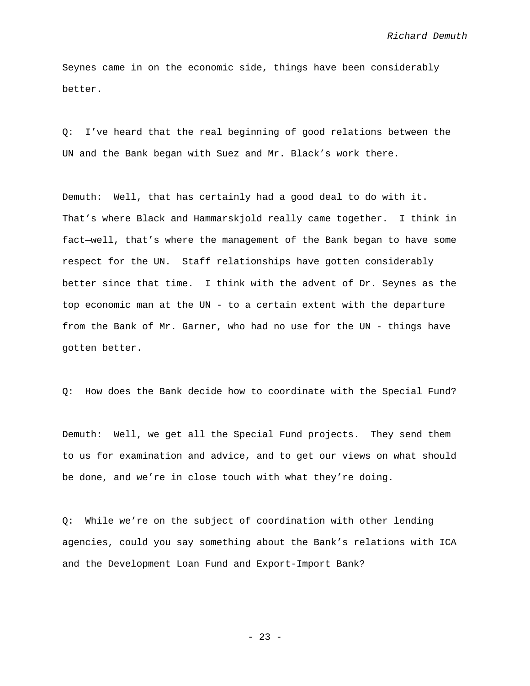Seynes came in on the economic side, things have been considerably better.

Q: I've heard that the real beginning of good relations between the UN and the Bank began with Suez and Mr. Black's work there.

Demuth: Well, that has certainly had a good deal to do with it. That's where Black and Hammarskjold really came together. I think in fact—well, that's where the management of the Bank began to have some respect for the UN. Staff relationships have gotten considerably better since that time. I think with the advent of Dr. Seynes as the top economic man at the UN - to a certain extent with the departure from the Bank of Mr. Garner, who had no use for the UN - things have gotten better.

Q: How does the Bank decide how to coordinate with the Special Fund?

Demuth: Well, we get all the Special Fund projects. They send them to us for examination and advice, and to get our views on what should be done, and we're in close touch with what they're doing.

Q: While we're on the subject of coordination with other lending agencies, could you say something about the Bank's relations with ICA and the Development Loan Fund and Export-Import Bank?

- 23 -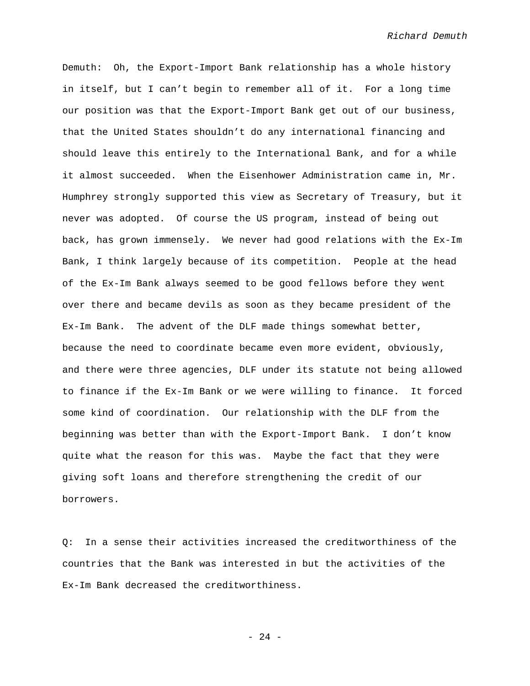Demuth: Oh, the Export-Import Bank relationship has a whole history in itself, but I can't begin to remember all of it. For a long time our position was that the Export-Import Bank get out of our business, that the United States shouldn't do any international financing and should leave this entirely to the International Bank, and for a while it almost succeeded. When the Eisenhower Administration came in, Mr. Humphrey strongly supported this view as Secretary of Treasury, but it never was adopted. Of course the US program, instead of being out back, has grown immensely. We never had good relations with the Ex-Im Bank, I think largely because of its competition. People at the head of the Ex-Im Bank always seemed to be good fellows before they went over there and became devils as soon as they became president of the Ex-Im Bank. The advent of the DLF made things somewhat better, because the need to coordinate became even more evident, obviously, and there were three agencies, DLF under its statute not being allowed to finance if the Ex-Im Bank or we were willing to finance. It forced some kind of coordination. Our relationship with the DLF from the beginning was better than with the Export-Import Bank. I don't know quite what the reason for this was. Maybe the fact that they were giving soft loans and therefore strengthening the credit of our borrowers.

Q: In a sense their activities increased the creditworthiness of the countries that the Bank was interested in but the activities of the Ex-Im Bank decreased the creditworthiness.

- 24 -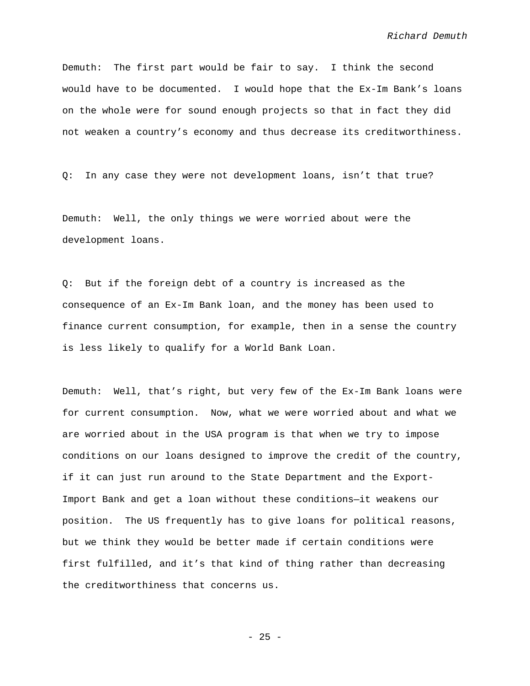Demuth: The first part would be fair to say. I think the second would have to be documented. I would hope that the Ex-Im Bank's loans on the whole were for sound enough projects so that in fact they did not weaken a country's economy and thus decrease its creditworthiness.

Q: In any case they were not development loans, isn't that true?

Demuth: Well, the only things we were worried about were the development loans.

Q: But if the foreign debt of a country is increased as the consequence of an Ex-Im Bank loan, and the money has been used to finance current consumption, for example, then in a sense the country is less likely to qualify for a World Bank Loan.

Demuth: Well, that's right, but very few of the Ex-Im Bank loans were for current consumption. Now, what we were worried about and what we are worried about in the USA program is that when we try to impose conditions on our loans designed to improve the credit of the country, if it can just run around to the State Department and the Export-Import Bank and get a loan without these conditions—it weakens our position. The US frequently has to give loans for political reasons, but we think they would be better made if certain conditions were first fulfilled, and it's that kind of thing rather than decreasing the creditworthiness that concerns us.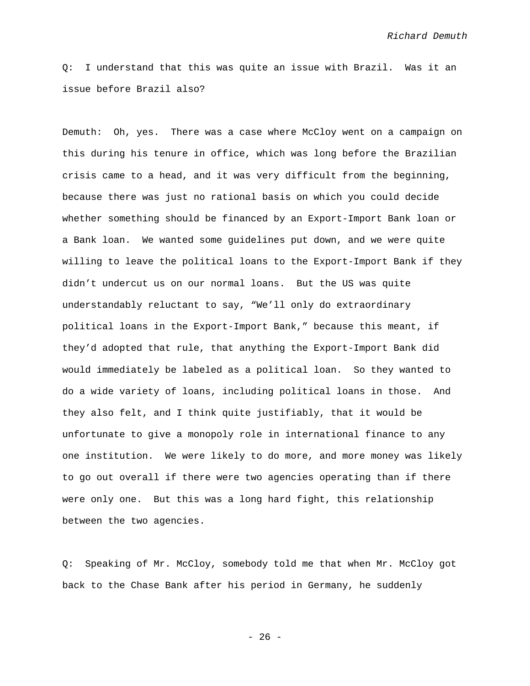Q: I understand that this was quite an issue with Brazil. Was it an issue before Brazil also?

Demuth: Oh, yes. There was a case where McCloy went on a campaign on this during his tenure in office, which was long before the Brazilian crisis came to a head, and it was very difficult from the beginning, because there was just no rational basis on which you could decide whether something should be financed by an Export-Import Bank loan or a Bank loan. We wanted some guidelines put down, and we were quite willing to leave the political loans to the Export-Import Bank if they didn't undercut us on our normal loans. But the US was quite understandably reluctant to say, "We'll only do extraordinary political loans in the Export-Import Bank," because this meant, if they'd adopted that rule, that anything the Export-Import Bank did would immediately be labeled as a political loan. So they wanted to do a wide variety of loans, including political loans in those. And they also felt, and I think quite justifiably, that it would be unfortunate to give a monopoly role in international finance to any one institution. We were likely to do more, and more money was likely to go out overall if there were two agencies operating than if there were only one. But this was a long hard fight, this relationship between the two agencies.

Q: Speaking of Mr. McCloy, somebody told me that when Mr. McCloy got back to the Chase Bank after his period in Germany, he suddenly

 $- 26 -$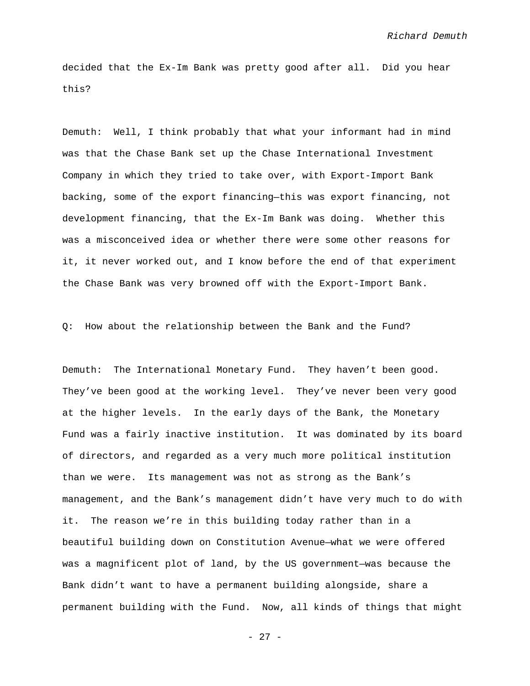decided that the Ex-Im Bank was pretty good after all. Did you hear this?

Demuth: Well, I think probably that what your informant had in mind was that the Chase Bank set up the Chase International Investment Company in which they tried to take over, with Export-Import Bank backing, some of the export financing—this was export financing, not development financing, that the Ex-Im Bank was doing. Whether this was a misconceived idea or whether there were some other reasons for it, it never worked out, and I know before the end of that experiment the Chase Bank was very browned off with the Export-Import Bank.

## Q: How about the relationship between the Bank and the Fund?

Demuth: The International Monetary Fund. They haven't been good. They've been good at the working level. They've never been very good at the higher levels. In the early days of the Bank, the Monetary Fund was a fairly inactive institution. It was dominated by its board of directors, and regarded as a very much more political institution than we were. Its management was not as strong as the Bank's management, and the Bank's management didn't have very much to do with it. The reason we're in this building today rather than in a beautiful building down on Constitution Avenue—what we were offered was a magnificent plot of land, by the US government—was because the Bank didn't want to have a permanent building alongside, share a permanent building with the Fund. Now, all kinds of things that might

- 27 -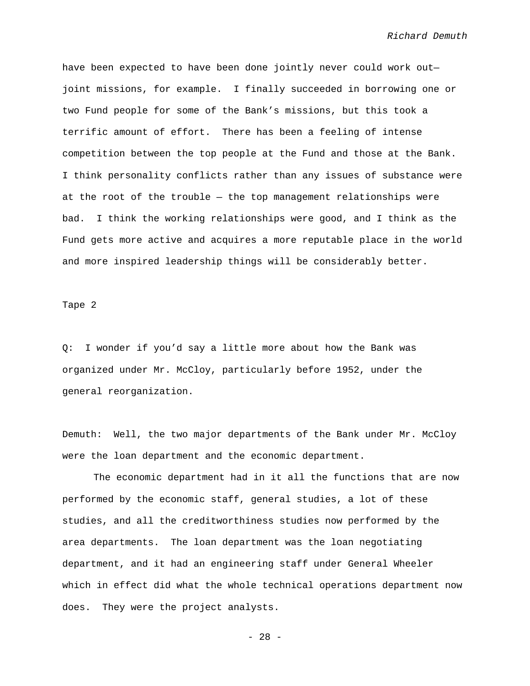have been expected to have been done jointly never could work out joint missions, for example. I finally succeeded in borrowing one or two Fund people for some of the Bank's missions, but this took a terrific amount of effort. There has been a feeling of intense competition between the top people at the Fund and those at the Bank. I think personality conflicts rather than any issues of substance were at the root of the trouble — the top management relationships were bad. I think the working relationships were good, and I think as the Fund gets more active and acquires a more reputable place in the world and more inspired leadership things will be considerably better.

Tape 2

Q: I wonder if you'd say a little more about how the Bank was organized under Mr. McCloy, particularly before 1952, under the general reorganization.

Demuth: Well, the two major departments of the Bank under Mr. McCloy were the loan department and the economic department.

The economic department had in it all the functions that are now performed by the economic staff, general studies, a lot of these studies, and all the creditworthiness studies now performed by the area departments. The loan department was the loan negotiating department, and it had an engineering staff under General Wheeler which in effect did what the whole technical operations department now does. They were the project analysts.

- 28 -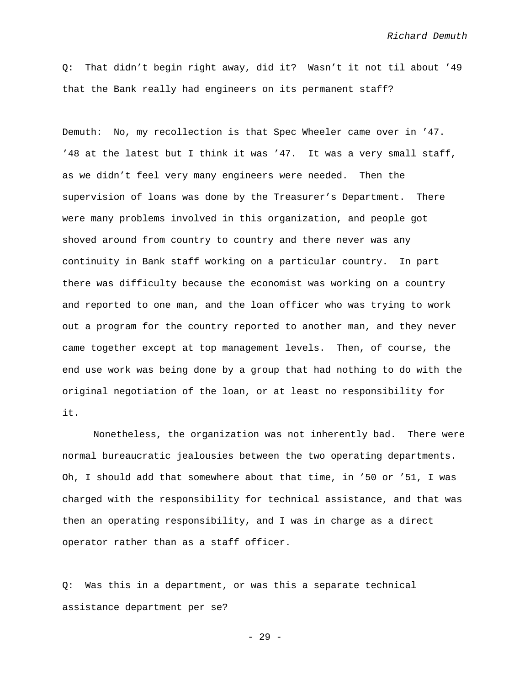Q: That didn't begin right away, did it? Wasn't it not til about '49 that the Bank really had engineers on its permanent staff?

Demuth: No, my recollection is that Spec Wheeler came over in '47. '48 at the latest but I think it was '47. It was a very small staff, as we didn't feel very many engineers were needed. Then the supervision of loans was done by the Treasurer's Department. There were many problems involved in this organization, and people got shoved around from country to country and there never was any continuity in Bank staff working on a particular country. In part there was difficulty because the economist was working on a country and reported to one man, and the loan officer who was trying to work out a program for the country reported to another man, and they never came together except at top management levels. Then, of course, the end use work was being done by a group that had nothing to do with the original negotiation of the loan, or at least no responsibility for it.

Nonetheless, the organization was not inherently bad. There were normal bureaucratic jealousies between the two operating departments. Oh, I should add that somewhere about that time, in '50 or '51, I was charged with the responsibility for technical assistance, and that was then an operating responsibility, and I was in charge as a direct operator rather than as a staff officer.

Q: Was this in a department, or was this a separate technical assistance department per se?

- 29 -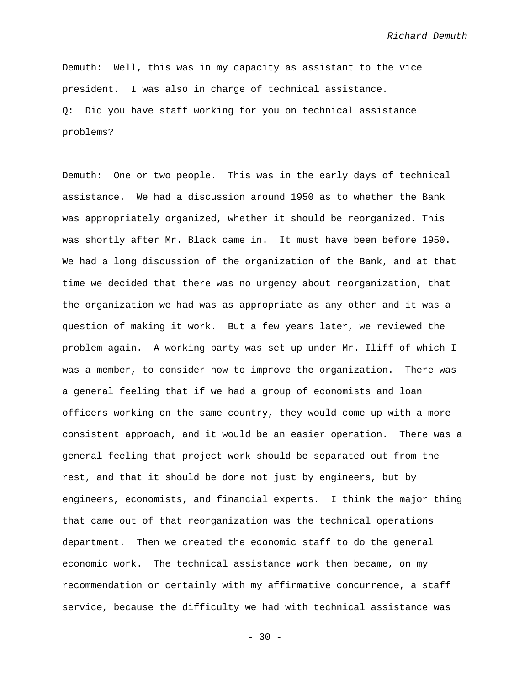Demuth: Well, this was in my capacity as assistant to the vice president. I was also in charge of technical assistance. Q: Did you have staff working for you on technical assistance problems?

Demuth: One or two people. This was in the early days of technical assistance. We had a discussion around 1950 as to whether the Bank was appropriately organized, whether it should be reorganized. This was shortly after Mr. Black came in. It must have been before 1950. We had a long discussion of the organization of the Bank, and at that time we decided that there was no urgency about reorganization, that the organization we had was as appropriate as any other and it was a question of making it work. But a few years later, we reviewed the problem again. A working party was set up under Mr. Iliff of which I was a member, to consider how to improve the organization. There was a general feeling that if we had a group of economists and loan officers working on the same country, they would come up with a more consistent approach, and it would be an easier operation. There was a general feeling that project work should be separated out from the rest, and that it should be done not just by engineers, but by engineers, economists, and financial experts. I think the major thing that came out of that reorganization was the technical operations department. Then we created the economic staff to do the general economic work. The technical assistance work then became, on my recommendation or certainly with my affirmative concurrence, a staff service, because the difficulty we had with technical assistance was

 $- 30 -$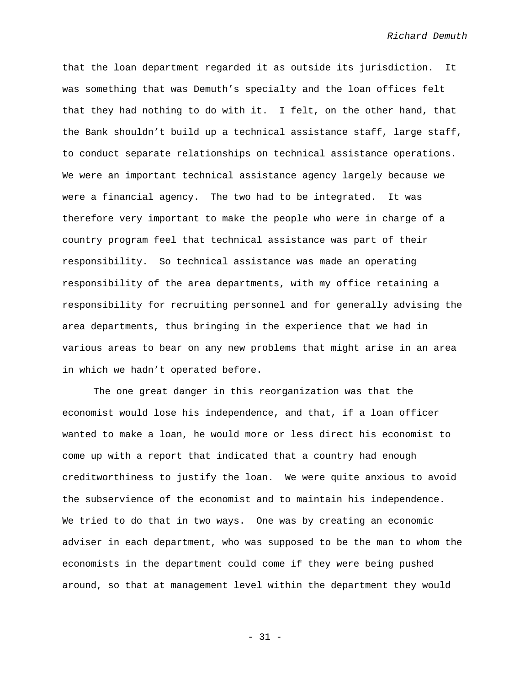that the loan department regarded it as outside its jurisdiction. It was something that was Demuth's specialty and the loan offices felt that they had nothing to do with it. I felt, on the other hand, that the Bank shouldn't build up a technical assistance staff, large staff, to conduct separate relationships on technical assistance operations. We were an important technical assistance agency largely because we were a financial agency. The two had to be integrated. It was therefore very important to make the people who were in charge of a country program feel that technical assistance was part of their responsibility. So technical assistance was made an operating responsibility of the area departments, with my office retaining a responsibility for recruiting personnel and for generally advising the area departments, thus bringing in the experience that we had in various areas to bear on any new problems that might arise in an area in which we hadn't operated before.

The one great danger in this reorganization was that the economist would lose his independence, and that, if a loan officer wanted to make a loan, he would more or less direct his economist to come up with a report that indicated that a country had enough creditworthiness to justify the loan. We were quite anxious to avoid the subservience of the economist and to maintain his independence. We tried to do that in two ways. One was by creating an economic adviser in each department, who was supposed to be the man to whom the economists in the department could come if they were being pushed around, so that at management level within the department they would

- 31 -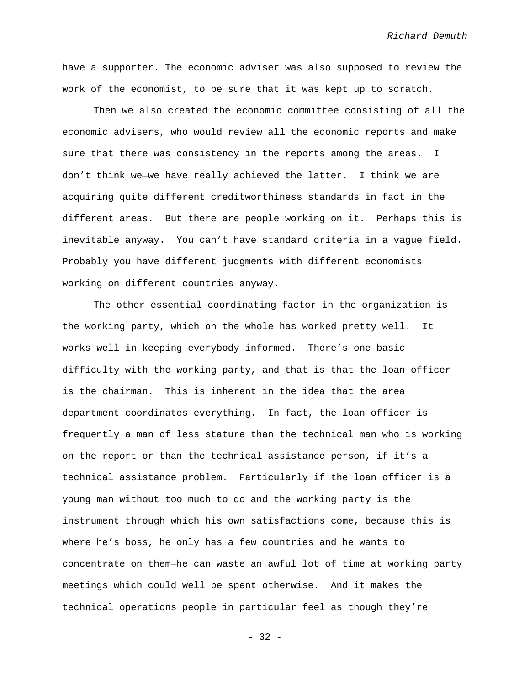have a supporter. The economic adviser was also supposed to review the work of the economist, to be sure that it was kept up to scratch.

Then we also created the economic committee consisting of all the economic advisers, who would review all the economic reports and make sure that there was consistency in the reports among the areas. I don't think we—we have really achieved the latter. I think we are acquiring quite different creditworthiness standards in fact in the different areas. But there are people working on it. Perhaps this is inevitable anyway. You can't have standard criteria in a vague field. Probably you have different judgments with different economists working on different countries anyway.

The other essential coordinating factor in the organization is the working party, which on the whole has worked pretty well. It works well in keeping everybody informed. There's one basic difficulty with the working party, and that is that the loan officer is the chairman. This is inherent in the idea that the area department coordinates everything. In fact, the loan officer is frequently a man of less stature than the technical man who is working on the report or than the technical assistance person, if it's a technical assistance problem. Particularly if the loan officer is a young man without too much to do and the working party is the instrument through which his own satisfactions come, because this is where he's boss, he only has a few countries and he wants to concentrate on them—he can waste an awful lot of time at working party meetings which could well be spent otherwise. And it makes the technical operations people in particular feel as though they're

- 32 -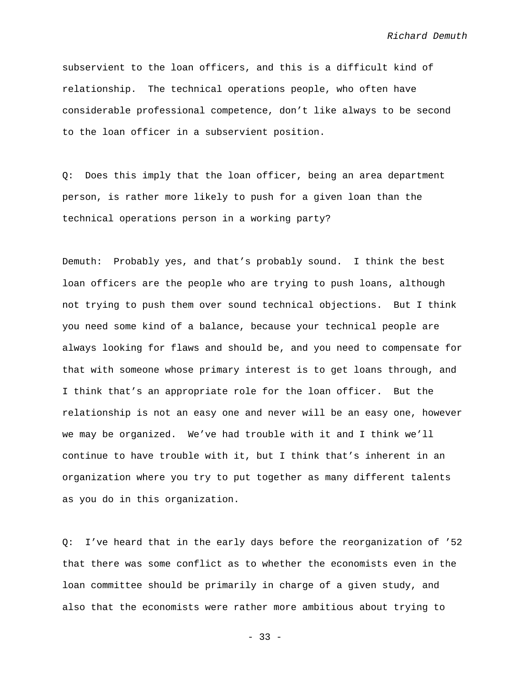subservient to the loan officers, and this is a difficult kind of relationship. The technical operations people, who often have considerable professional competence, don't like always to be second to the loan officer in a subservient position.

Q: Does this imply that the loan officer, being an area department person, is rather more likely to push for a given loan than the technical operations person in a working party?

Demuth: Probably yes, and that's probably sound. I think the best loan officers are the people who are trying to push loans, although not trying to push them over sound technical objections. But I think you need some kind of a balance, because your technical people are always looking for flaws and should be, and you need to compensate for that with someone whose primary interest is to get loans through, and I think that's an appropriate role for the loan officer. But the relationship is not an easy one and never will be an easy one, however we may be organized. We've had trouble with it and I think we'll continue to have trouble with it, but I think that's inherent in an organization where you try to put together as many different talents as you do in this organization.

Q: I've heard that in the early days before the reorganization of '52 that there was some conflict as to whether the economists even in the loan committee should be primarily in charge of a given study, and also that the economists were rather more ambitious about trying to

- 33 -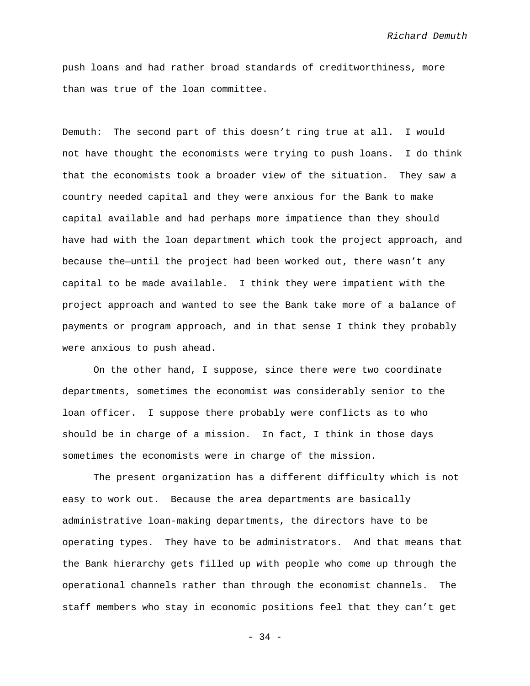push loans and had rather broad standards of creditworthiness, more than was true of the loan committee.

Demuth: The second part of this doesn't ring true at all. I would not have thought the economists were trying to push loans. I do think that the economists took a broader view of the situation. They saw a country needed capital and they were anxious for the Bank to make capital available and had perhaps more impatience than they should have had with the loan department which took the project approach, and because the—until the project had been worked out, there wasn't any capital to be made available. I think they were impatient with the project approach and wanted to see the Bank take more of a balance of payments or program approach, and in that sense I think they probably were anxious to push ahead.

On the other hand, I suppose, since there were two coordinate departments, sometimes the economist was considerably senior to the loan officer. I suppose there probably were conflicts as to who should be in charge of a mission. In fact, I think in those days sometimes the economists were in charge of the mission.

The present organization has a different difficulty which is not easy to work out. Because the area departments are basically administrative loan-making departments, the directors have to be operating types. They have to be administrators. And that means that the Bank hierarchy gets filled up with people who come up through the operational channels rather than through the economist channels. The staff members who stay in economic positions feel that they can't get

 $-34 -$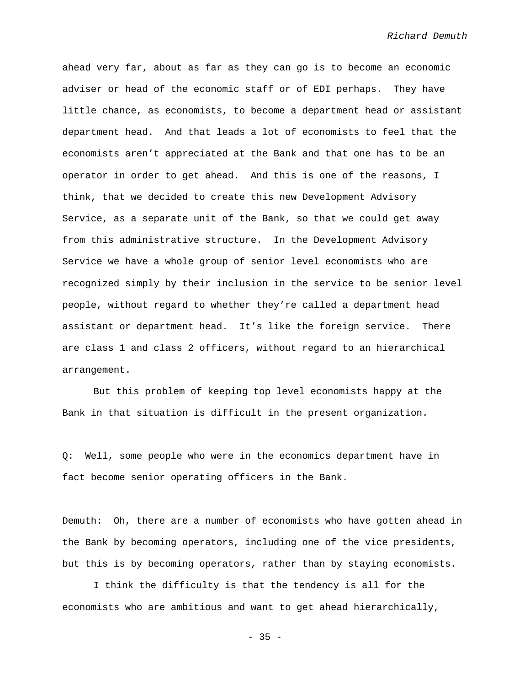ahead very far, about as far as they can go is to become an economic adviser or head of the economic staff or of EDI perhaps. They have little chance, as economists, to become a department head or assistant department head. And that leads a lot of economists to feel that the economists aren't appreciated at the Bank and that one has to be an operator in order to get ahead. And this is one of the reasons, I think, that we decided to create this new Development Advisory Service, as a separate unit of the Bank, so that we could get away from this administrative structure. In the Development Advisory Service we have a whole group of senior level economists who are recognized simply by their inclusion in the service to be senior level people, without regard to whether they're called a department head assistant or department head. It's like the foreign service. There are class 1 and class 2 officers, without regard to an hierarchical arrangement.

But this problem of keeping top level economists happy at the Bank in that situation is difficult in the present organization.

Q: Well, some people who were in the economics department have in fact become senior operating officers in the Bank.

Demuth: Oh, there are a number of economists who have gotten ahead in the Bank by becoming operators, including one of the vice presidents, but this is by becoming operators, rather than by staying economists.

I think the difficulty is that the tendency is all for the economists who are ambitious and want to get ahead hierarchically,

 $- 35 -$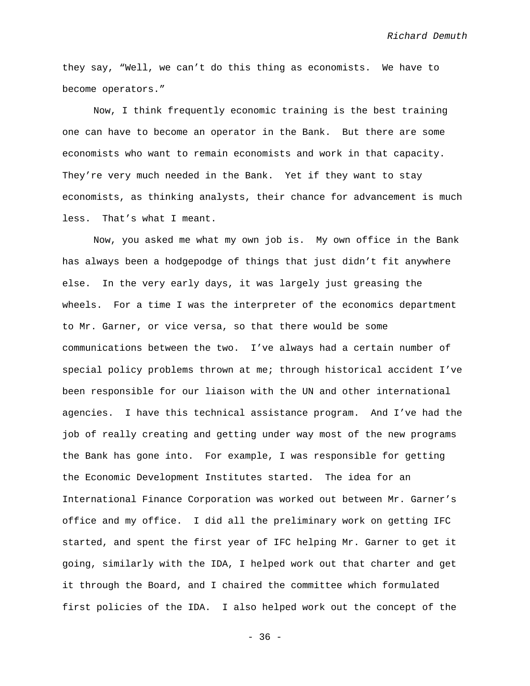they say, "Well, we can't do this thing as economists. We have to become operators."

Now, I think frequently economic training is the best training one can have to become an operator in the Bank. But there are some economists who want to remain economists and work in that capacity. They're very much needed in the Bank. Yet if they want to stay economists, as thinking analysts, their chance for advancement is much less. That's what I meant.

Now, you asked me what my own job is. My own office in the Bank has always been a hodgepodge of things that just didn't fit anywhere else. In the very early days, it was largely just greasing the wheels. For a time I was the interpreter of the economics department to Mr. Garner, or vice versa, so that there would be some communications between the two. I've always had a certain number of special policy problems thrown at me; through historical accident I've been responsible for our liaison with the UN and other international agencies. I have this technical assistance program. And I've had the job of really creating and getting under way most of the new programs the Bank has gone into. For example, I was responsible for getting the Economic Development Institutes started. The idea for an International Finance Corporation was worked out between Mr. Garner's office and my office. I did all the preliminary work on getting IFC started, and spent the first year of IFC helping Mr. Garner to get it going, similarly with the IDA, I helped work out that charter and get it through the Board, and I chaired the committee which formulated first policies of the IDA. I also helped work out the concept of the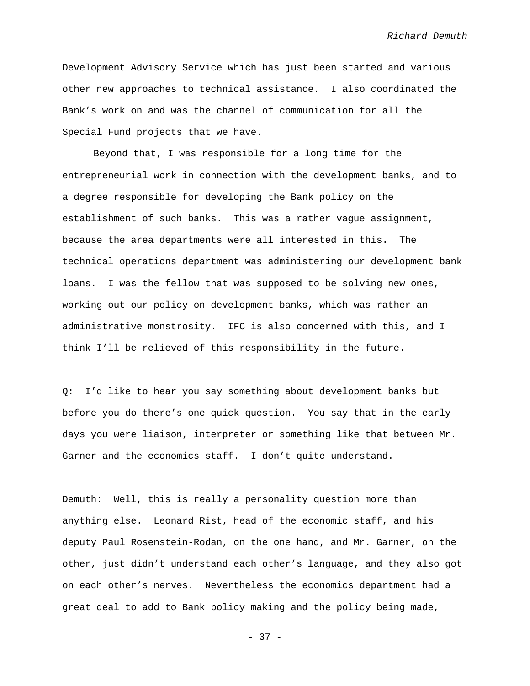Development Advisory Service which has just been started and various other new approaches to technical assistance. I also coordinated the Bank's work on and was the channel of communication for all the Special Fund projects that we have.

Beyond that, I was responsible for a long time for the entrepreneurial work in connection with the development banks, and to a degree responsible for developing the Bank policy on the establishment of such banks. This was a rather vague assignment, because the area departments were all interested in this. The technical operations department was administering our development bank loans. I was the fellow that was supposed to be solving new ones, working out our policy on development banks, which was rather an administrative monstrosity. IFC is also concerned with this, and I think I'll be relieved of this responsibility in the future.

Q: I'd like to hear you say something about development banks but before you do there's one quick question. You say that in the early days you were liaison, interpreter or something like that between Mr. Garner and the economics staff. I don't quite understand.

Demuth: Well, this is really a personality question more than anything else. Leonard Rist, head of the economic staff, and his deputy Paul Rosenstein-Rodan, on the one hand, and Mr. Garner, on the other, just didn't understand each other's language, and they also got on each other's nerves. Nevertheless the economics department had a great deal to add to Bank policy making and the policy being made,

- 37 -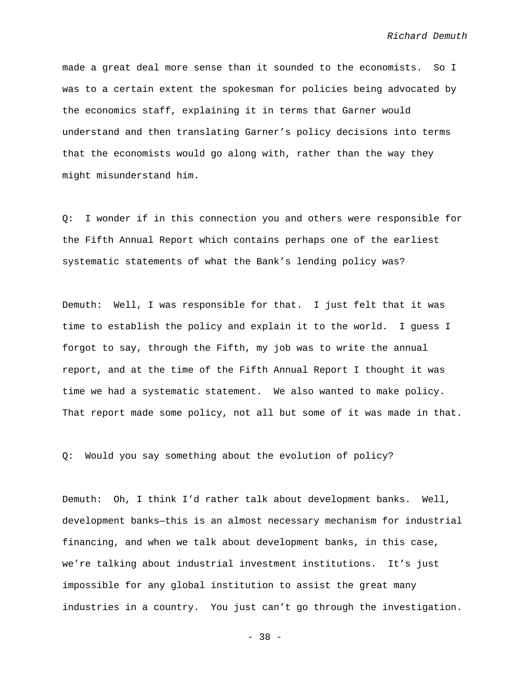made a great deal more sense than it sounded to the economists. So I was to a certain extent the spokesman for policies being advocated by the economics staff, explaining it in terms that Garner would understand and then translating Garner's policy decisions into terms that the economists would go along with, rather than the way they might misunderstand him.

Q: I wonder if in this connection you and others were responsible for the Fifth Annual Report which contains perhaps one of the earliest systematic statements of what the Bank's lending policy was?

Demuth: Well, I was responsible for that. I just felt that it was time to establish the policy and explain it to the world. I guess I forgot to say, through the Fifth, my job was to write the annual report, and at the time of the Fifth Annual Report I thought it was time we had a systematic statement. We also wanted to make policy. That report made some policy, not all but some of it was made in that.

Q: Would you say something about the evolution of policy?

Demuth: Oh, I think I'd rather talk about development banks. Well, development banks—this is an almost necessary mechanism for industrial financing, and when we talk about development banks, in this case, we're talking about industrial investment institutions. It's just impossible for any global institution to assist the great many industries in a country. You just can't go through the investigation.

- 38 -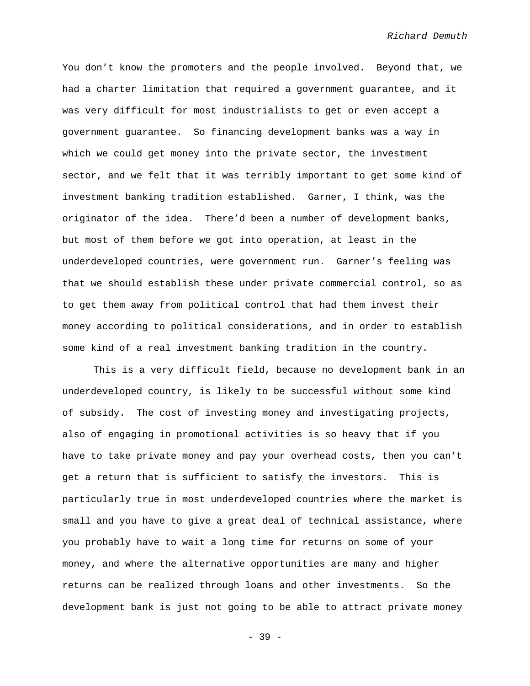You don't know the promoters and the people involved. Beyond that, we had a charter limitation that required a government guarantee, and it was very difficult for most industrialists to get or even accept a government guarantee. So financing development banks was a way in which we could get money into the private sector, the investment sector, and we felt that it was terribly important to get some kind of investment banking tradition established. Garner, I think, was the originator of the idea. There'd been a number of development banks, but most of them before we got into operation, at least in the underdeveloped countries, were government run. Garner's feeling was that we should establish these under private commercial control, so as to get them away from political control that had them invest their money according to political considerations, and in order to establish some kind of a real investment banking tradition in the country.

This is a very difficult field, because no development bank in an underdeveloped country, is likely to be successful without some kind of subsidy. The cost of investing money and investigating projects, also of engaging in promotional activities is so heavy that if you have to take private money and pay your overhead costs, then you can't get a return that is sufficient to satisfy the investors. This is particularly true in most underdeveloped countries where the market is small and you have to give a great deal of technical assistance, where you probably have to wait a long time for returns on some of your money, and where the alternative opportunities are many and higher returns can be realized through loans and other investments. So the development bank is just not going to be able to attract private money

- 39 -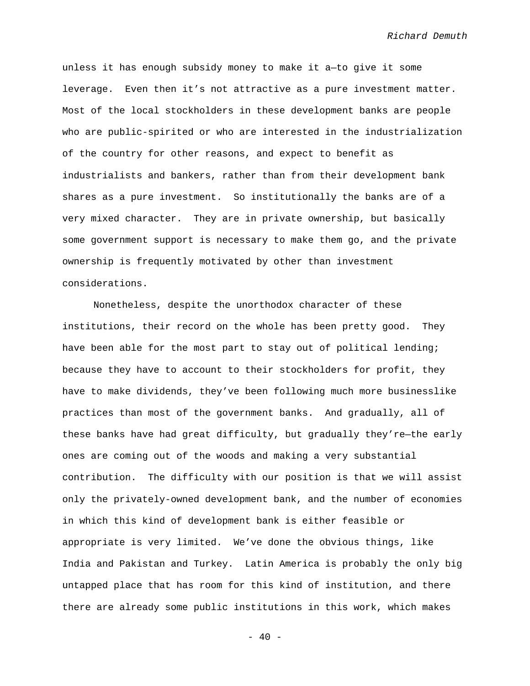unless it has enough subsidy money to make it a—to give it some leverage. Even then it's not attractive as a pure investment matter. Most of the local stockholders in these development banks are people who are public-spirited or who are interested in the industrialization of the country for other reasons, and expect to benefit as industrialists and bankers, rather than from their development bank shares as a pure investment. So institutionally the banks are of a very mixed character. They are in private ownership, but basically some government support is necessary to make them go, and the private ownership is frequently motivated by other than investment considerations.

Nonetheless, despite the unorthodox character of these institutions, their record on the whole has been pretty good. They have been able for the most part to stay out of political lending; because they have to account to their stockholders for profit, they have to make dividends, they've been following much more businesslike practices than most of the government banks. And gradually, all of these banks have had great difficulty, but gradually they're—the early ones are coming out of the woods and making a very substantial contribution. The difficulty with our position is that we will assist only the privately-owned development bank, and the number of economies in which this kind of development bank is either feasible or appropriate is very limited. We've done the obvious things, like India and Pakistan and Turkey. Latin America is probably the only big untapped place that has room for this kind of institution, and there there are already some public institutions in this work, which makes

 $- 40 -$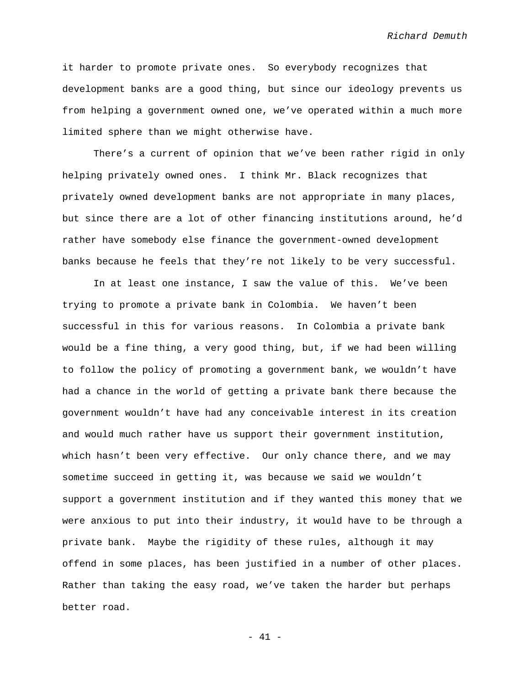it harder to promote private ones. So everybody recognizes that development banks are a good thing, but since our ideology prevents us from helping a government owned one, we've operated within a much more limited sphere than we might otherwise have.

There's a current of opinion that we've been rather rigid in only helping privately owned ones. I think Mr. Black recognizes that privately owned development banks are not appropriate in many places, but since there are a lot of other financing institutions around, he'd rather have somebody else finance the government-owned development banks because he feels that they're not likely to be very successful.

In at least one instance, I saw the value of this. We've been trying to promote a private bank in Colombia. We haven't been successful in this for various reasons. In Colombia a private bank would be a fine thing, a very good thing, but, if we had been willing to follow the policy of promoting a government bank, we wouldn't have had a chance in the world of getting a private bank there because the government wouldn't have had any conceivable interest in its creation and would much rather have us support their government institution, which hasn't been very effective. Our only chance there, and we may sometime succeed in getting it, was because we said we wouldn't support a government institution and if they wanted this money that we were anxious to put into their industry, it would have to be through a private bank. Maybe the rigidity of these rules, although it may offend in some places, has been justified in a number of other places. Rather than taking the easy road, we've taken the harder but perhaps better road.

- 41 -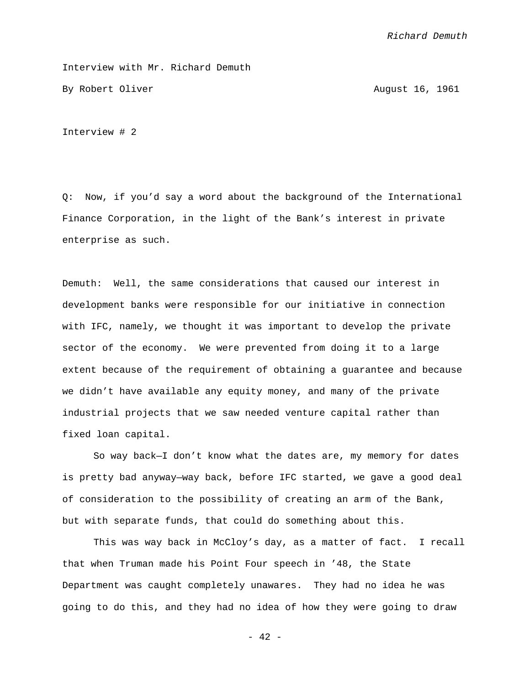Interview with Mr. Richard Demuth By Robert Oliver August 16, 1961

Interview # 2

Q: Now, if you'd say a word about the background of the International Finance Corporation, in the light of the Bank's interest in private enterprise as such.

Demuth: Well, the same considerations that caused our interest in development banks were responsible for our initiative in connection with IFC, namely, we thought it was important to develop the private sector of the economy. We were prevented from doing it to a large extent because of the requirement of obtaining a guarantee and because we didn't have available any equity money, and many of the private industrial projects that we saw needed venture capital rather than fixed loan capital.

So way back—I don't know what the dates are, my memory for dates is pretty bad anyway—way back, before IFC started, we gave a good deal of consideration to the possibility of creating an arm of the Bank, but with separate funds, that could do something about this.

This was way back in McCloy's day, as a matter of fact. I recall that when Truman made his Point Four speech in '48, the State Department was caught completely unawares. They had no idea he was going to do this, and they had no idea of how they were going to draw

- 42 -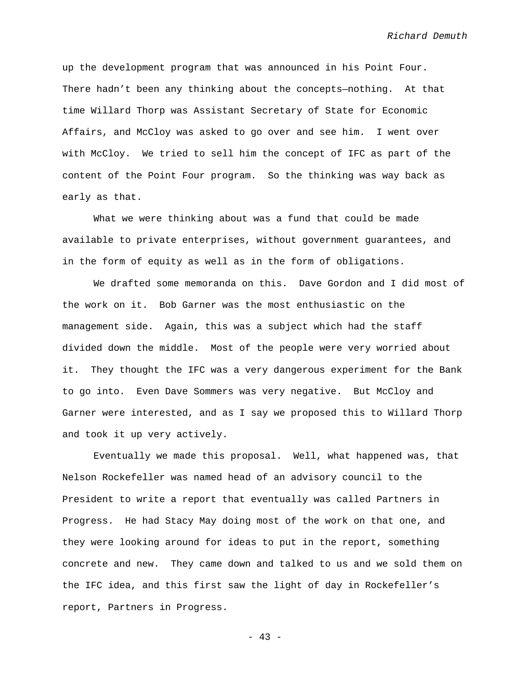up the development program that was announced in his Point Four. There hadn't been any thinking about the concepts—nothing. At that time Willard Thorp was Assistant Secretary of State for Economic Affairs, and McCloy was asked to go over and see him. I went over with McCloy. We tried to sell him the concept of IFC as part of the content of the Point Four program. So the thinking was way back as early as that.

What we were thinking about was a fund that could be made available to private enterprises, without government guarantees, and in the form of equity as well as in the form of obligations.

We drafted some memoranda on this. Dave Gordon and I did most of the work on it. Bob Garner was the most enthusiastic on the management side. Again, this was a subject which had the staff divided down the middle. Most of the people were very worried about it. They thought the IFC was a very dangerous experiment for the Bank to go into. Even Dave Sommers was very negative. But McCloy and Garner were interested, and as I say we proposed this to Willard Thorp and took it up very actively.

Eventually we made this proposal. Well, what happened was, that Nelson Rockefeller was named head of an advisory council to the President to write a report that eventually was called Partners in Progress. He had Stacy May doing most of the work on that one, and they were looking around for ideas to put in the report, something concrete and new. They came down and talked to us and we sold them on the IFC idea, and this first saw the light of day in Rockefeller's report, Partners in Progress.

- 43 -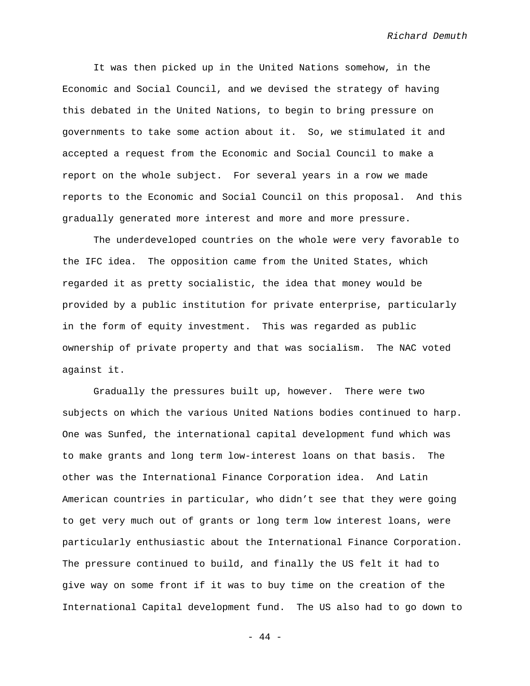It was then picked up in the United Nations somehow, in the Economic and Social Council, and we devised the strategy of having this debated in the United Nations, to begin to bring pressure on governments to take some action about it. So, we stimulated it and accepted a request from the Economic and Social Council to make a report on the whole subject. For several years in a row we made reports to the Economic and Social Council on this proposal. And this gradually generated more interest and more and more pressure.

The underdeveloped countries on the whole were very favorable to the IFC idea. The opposition came from the United States, which regarded it as pretty socialistic, the idea that money would be provided by a public institution for private enterprise, particularly in the form of equity investment. This was regarded as public ownership of private property and that was socialism. The NAC voted against it.

Gradually the pressures built up, however. There were two subjects on which the various United Nations bodies continued to harp. One was Sunfed, the international capital development fund which was to make grants and long term low-interest loans on that basis. The other was the International Finance Corporation idea. And Latin American countries in particular, who didn't see that they were going to get very much out of grants or long term low interest loans, were particularly enthusiastic about the International Finance Corporation. The pressure continued to build, and finally the US felt it had to give way on some front if it was to buy time on the creation of the International Capital development fund. The US also had to go down to

- 44 -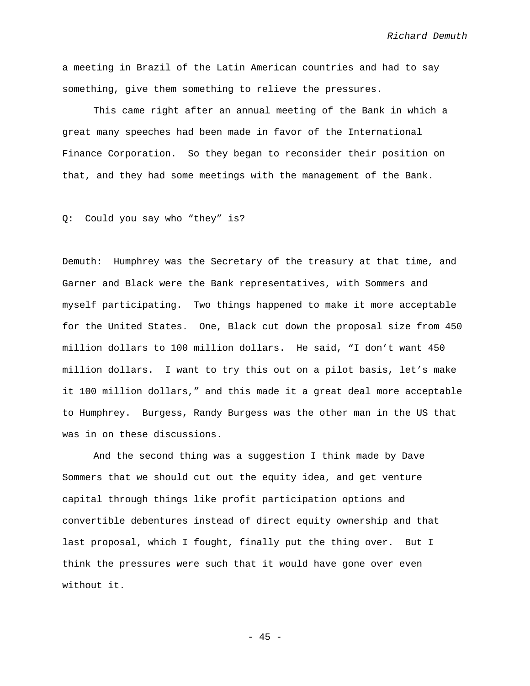a meeting in Brazil of the Latin American countries and had to say something, give them something to relieve the pressures.

This came right after an annual meeting of the Bank in which a great many speeches had been made in favor of the International Finance Corporation. So they began to reconsider their position on that, and they had some meetings with the management of the Bank.

Q: Could you say who "they" is?

Demuth: Humphrey was the Secretary of the treasury at that time, and Garner and Black were the Bank representatives, with Sommers and myself participating. Two things happened to make it more acceptable for the United States. One, Black cut down the proposal size from 450 million dollars to 100 million dollars. He said, "I don't want 450 million dollars. I want to try this out on a pilot basis, let's make it 100 million dollars," and this made it a great deal more acceptable to Humphrey. Burgess, Randy Burgess was the other man in the US that was in on these discussions.

And the second thing was a suggestion I think made by Dave Sommers that we should cut out the equity idea, and get venture capital through things like profit participation options and convertible debentures instead of direct equity ownership and that last proposal, which I fought, finally put the thing over. But I think the pressures were such that it would have gone over even without it.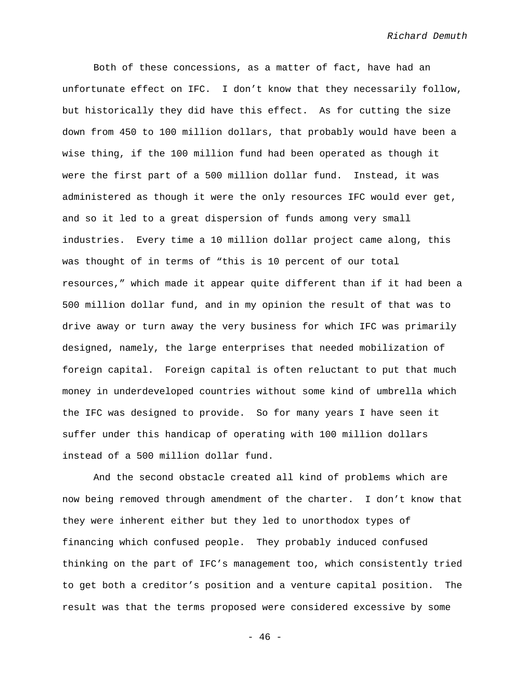Both of these concessions, as a matter of fact, have had an unfortunate effect on IFC. I don't know that they necessarily follow, but historically they did have this effect. As for cutting the size down from 450 to 100 million dollars, that probably would have been a wise thing, if the 100 million fund had been operated as though it were the first part of a 500 million dollar fund. Instead, it was administered as though it were the only resources IFC would ever get, and so it led to a great dispersion of funds among very small industries. Every time a 10 million dollar project came along, this was thought of in terms of "this is 10 percent of our total resources," which made it appear quite different than if it had been a 500 million dollar fund, and in my opinion the result of that was to drive away or turn away the very business for which IFC was primarily designed, namely, the large enterprises that needed mobilization of foreign capital. Foreign capital is often reluctant to put that much money in underdeveloped countries without some kind of umbrella which the IFC was designed to provide. So for many years I have seen it suffer under this handicap of operating with 100 million dollars instead of a 500 million dollar fund.

And the second obstacle created all kind of problems which are now being removed through amendment of the charter. I don't know that they were inherent either but they led to unorthodox types of financing which confused people. They probably induced confused thinking on the part of IFC's management too, which consistently tried to get both a creditor's position and a venture capital position. The result was that the terms proposed were considered excessive by some

 $- 46 -$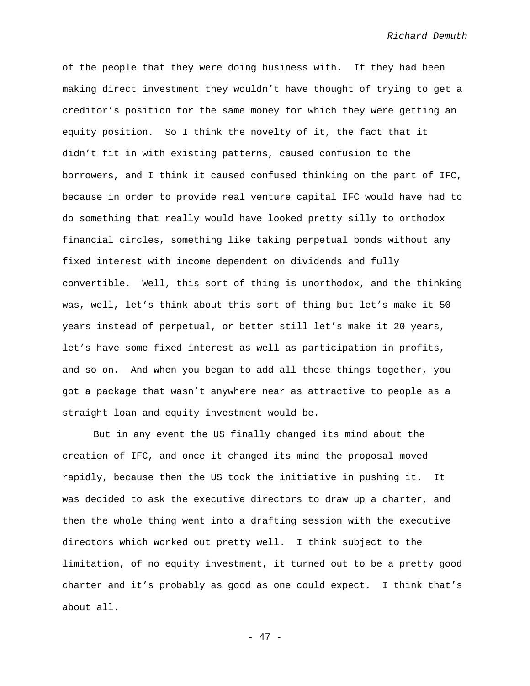of the people that they were doing business with. If they had been making direct investment they wouldn't have thought of trying to get a creditor's position for the same money for which they were getting an equity position. So I think the novelty of it, the fact that it didn't fit in with existing patterns, caused confusion to the borrowers, and I think it caused confused thinking on the part of IFC, because in order to provide real venture capital IFC would have had to do something that really would have looked pretty silly to orthodox financial circles, something like taking perpetual bonds without any fixed interest with income dependent on dividends and fully convertible. Well, this sort of thing is unorthodox, and the thinking was, well, let's think about this sort of thing but let's make it 50 years instead of perpetual, or better still let's make it 20 years, let's have some fixed interest as well as participation in profits, and so on. And when you began to add all these things together, you got a package that wasn't anywhere near as attractive to people as a straight loan and equity investment would be.

But in any event the US finally changed its mind about the creation of IFC, and once it changed its mind the proposal moved rapidly, because then the US took the initiative in pushing it. It was decided to ask the executive directors to draw up a charter, and then the whole thing went into a drafting session with the executive directors which worked out pretty well. I think subject to the limitation, of no equity investment, it turned out to be a pretty good charter and it's probably as good as one could expect. I think that's about all.

- 47 -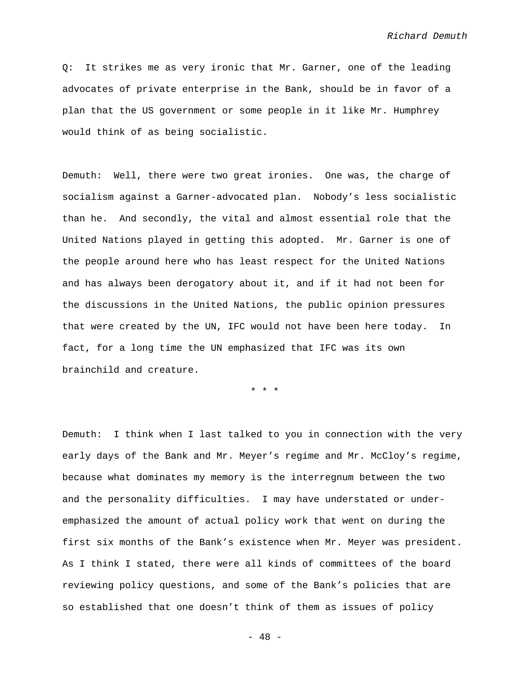Q: It strikes me as very ironic that Mr. Garner, one of the leading advocates of private enterprise in the Bank, should be in favor of a plan that the US government or some people in it like Mr. Humphrey would think of as being socialistic.

Demuth: Well, there were two great ironies. One was, the charge of socialism against a Garner-advocated plan. Nobody's less socialistic than he. And secondly, the vital and almost essential role that the United Nations played in getting this adopted. Mr. Garner is one of the people around here who has least respect for the United Nations and has always been derogatory about it, and if it had not been for the discussions in the United Nations, the public opinion pressures that were created by the UN, IFC would not have been here today. In fact, for a long time the UN emphasized that IFC was its own brainchild and creature.

\* \* \*

Demuth: I think when I last talked to you in connection with the very early days of the Bank and Mr. Meyer's regime and Mr. McCloy's regime, because what dominates my memory is the interregnum between the two and the personality difficulties. I may have understated or underemphasized the amount of actual policy work that went on during the first six months of the Bank's existence when Mr. Meyer was president. As I think I stated, there were all kinds of committees of the board reviewing policy questions, and some of the Bank's policies that are so established that one doesn't think of them as issues of policy

- 48 -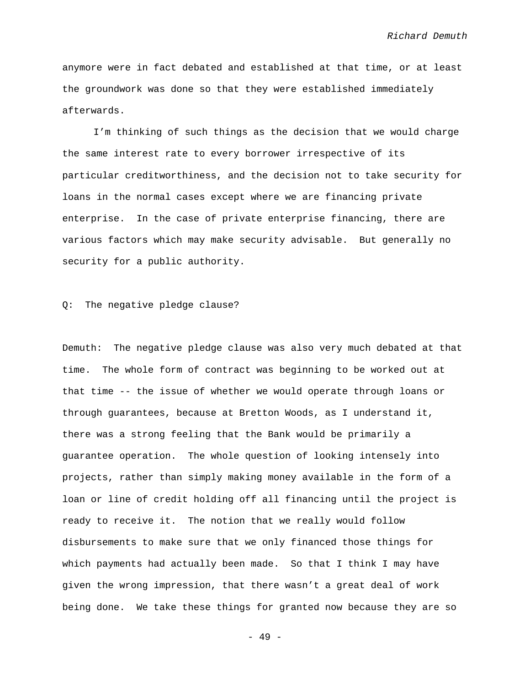anymore were in fact debated and established at that time, or at least the groundwork was done so that they were established immediately afterwards.

I'm thinking of such things as the decision that we would charge the same interest rate to every borrower irrespective of its particular creditworthiness, and the decision not to take security for loans in the normal cases except where we are financing private enterprise. In the case of private enterprise financing, there are various factors which may make security advisable. But generally no security for a public authority.

Q: The negative pledge clause?

Demuth: The negative pledge clause was also very much debated at that time. The whole form of contract was beginning to be worked out at that time -- the issue of whether we would operate through loans or through guarantees, because at Bretton Woods, as I understand it, there was a strong feeling that the Bank would be primarily a guarantee operation. The whole question of looking intensely into projects, rather than simply making money available in the form of a loan or line of credit holding off all financing until the project is ready to receive it. The notion that we really would follow disbursements to make sure that we only financed those things for which payments had actually been made. So that I think I may have given the wrong impression, that there wasn't a great deal of work being done. We take these things for granted now because they are so

- 49 -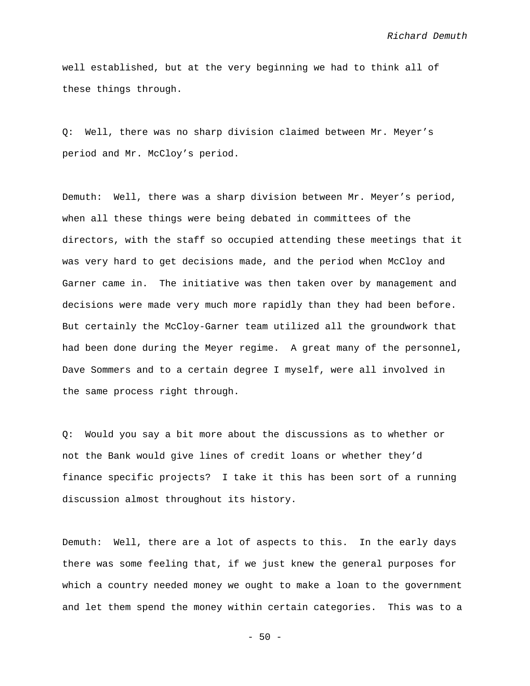well established, but at the very beginning we had to think all of these things through.

Q: Well, there was no sharp division claimed between Mr. Meyer's period and Mr. McCloy's period.

Demuth: Well, there was a sharp division between Mr. Meyer's period, when all these things were being debated in committees of the directors, with the staff so occupied attending these meetings that it was very hard to get decisions made, and the period when McCloy and Garner came in. The initiative was then taken over by management and decisions were made very much more rapidly than they had been before. But certainly the McCloy-Garner team utilized all the groundwork that had been done during the Meyer regime. A great many of the personnel, Dave Sommers and to a certain degree I myself, were all involved in the same process right through.

Q: Would you say a bit more about the discussions as to whether or not the Bank would give lines of credit loans or whether they'd finance specific projects? I take it this has been sort of a running discussion almost throughout its history.

Demuth: Well, there are a lot of aspects to this. In the early days there was some feeling that, if we just knew the general purposes for which a country needed money we ought to make a loan to the government and let them spend the money within certain categories. This was to a

 $-50 -$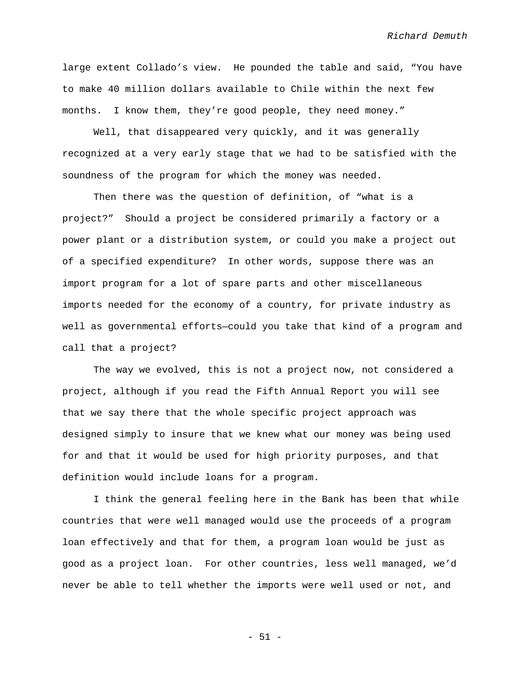large extent Collado's view. He pounded the table and said, "You have to make 40 million dollars available to Chile within the next few months. I know them, they're good people, they need money."

Well, that disappeared very quickly, and it was generally recognized at a very early stage that we had to be satisfied with the soundness of the program for which the money was needed.

Then there was the question of definition, of "what is a project?" Should a project be considered primarily a factory or a power plant or a distribution system, or could you make a project out of a specified expenditure? In other words, suppose there was an import program for a lot of spare parts and other miscellaneous imports needed for the economy of a country, for private industry as well as governmental efforts—could you take that kind of a program and call that a project?

The way we evolved, this is not a project now, not considered a project, although if you read the Fifth Annual Report you will see that we say there that the whole specific project approach was designed simply to insure that we knew what our money was being used for and that it would be used for high priority purposes, and that definition would include loans for a program.

I think the general feeling here in the Bank has been that while countries that were well managed would use the proceeds of a program loan effectively and that for them, a program loan would be just as good as a project loan. For other countries, less well managed, we'd never be able to tell whether the imports were well used or not, and

- 51 -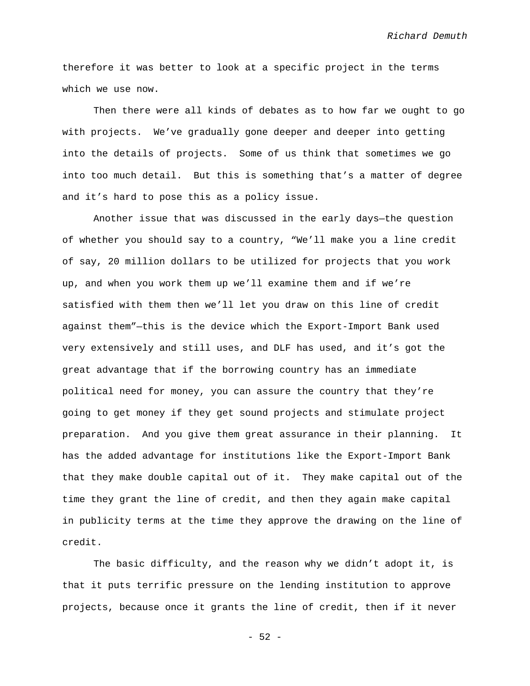therefore it was better to look at a specific project in the terms which we use now.

Then there were all kinds of debates as to how far we ought to go with projects. We've gradually gone deeper and deeper into getting into the details of projects. Some of us think that sometimes we go into too much detail. But this is something that's a matter of degree and it's hard to pose this as a policy issue.

Another issue that was discussed in the early days—the question of whether you should say to a country, "We'll make you a line credit of say, 20 million dollars to be utilized for projects that you work up, and when you work them up we'll examine them and if we're satisfied with them then we'll let you draw on this line of credit against them"—this is the device which the Export-Import Bank used very extensively and still uses, and DLF has used, and it's got the great advantage that if the borrowing country has an immediate political need for money, you can assure the country that they're going to get money if they get sound projects and stimulate project preparation. And you give them great assurance in their planning. It has the added advantage for institutions like the Export-Import Bank that they make double capital out of it. They make capital out of the time they grant the line of credit, and then they again make capital in publicity terms at the time they approve the drawing on the line of credit.

The basic difficulty, and the reason why we didn't adopt it, is that it puts terrific pressure on the lending institution to approve projects, because once it grants the line of credit, then if it never

- 52 -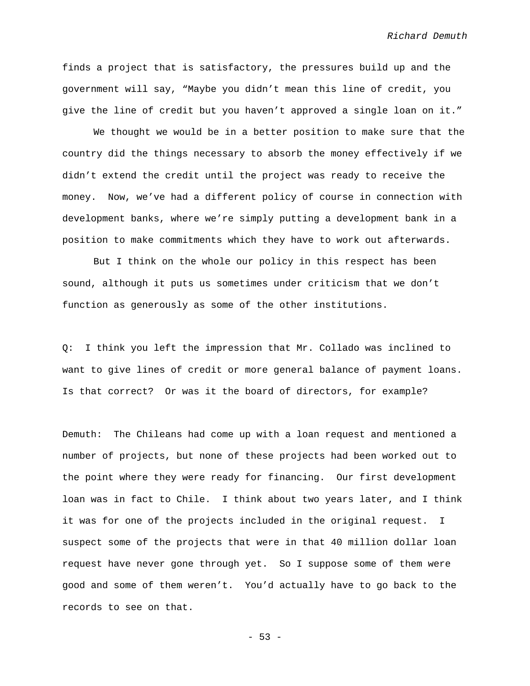finds a project that is satisfactory, the pressures build up and the government will say, "Maybe you didn't mean this line of credit, you give the line of credit but you haven't approved a single loan on it."

We thought we would be in a better position to make sure that the country did the things necessary to absorb the money effectively if we didn't extend the credit until the project was ready to receive the money. Now, we've had a different policy of course in connection with development banks, where we're simply putting a development bank in a position to make commitments which they have to work out afterwards.

But I think on the whole our policy in this respect has been sound, although it puts us sometimes under criticism that we don't function as generously as some of the other institutions.

Q: I think you left the impression that Mr. Collado was inclined to want to give lines of credit or more general balance of payment loans. Is that correct? Or was it the board of directors, for example?

Demuth: The Chileans had come up with a loan request and mentioned a number of projects, but none of these projects had been worked out to the point where they were ready for financing. Our first development loan was in fact to Chile. I think about two years later, and I think it was for one of the projects included in the original request. I suspect some of the projects that were in that 40 million dollar loan request have never gone through yet. So I suppose some of them were good and some of them weren't. You'd actually have to go back to the records to see on that.

- 53 -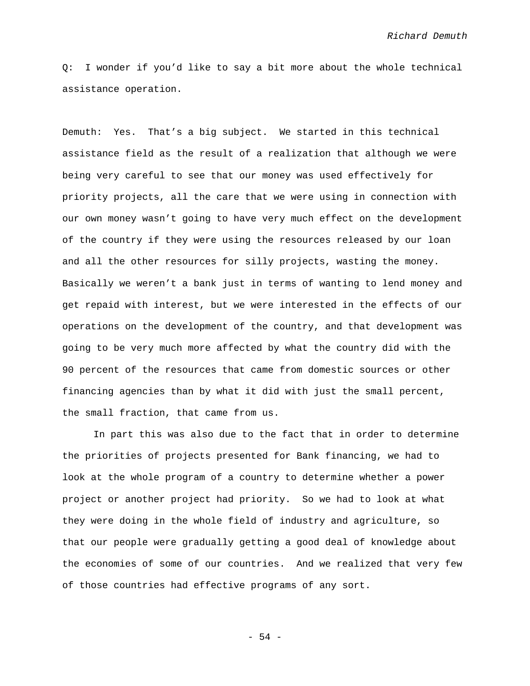Q: I wonder if you'd like to say a bit more about the whole technical assistance operation.

Demuth: Yes. That's a big subject. We started in this technical assistance field as the result of a realization that although we were being very careful to see that our money was used effectively for priority projects, all the care that we were using in connection with our own money wasn't going to have very much effect on the development of the country if they were using the resources released by our loan and all the other resources for silly projects, wasting the money. Basically we weren't a bank just in terms of wanting to lend money and get repaid with interest, but we were interested in the effects of our operations on the development of the country, and that development was going to be very much more affected by what the country did with the 90 percent of the resources that came from domestic sources or other financing agencies than by what it did with just the small percent, the small fraction, that came from us.

In part this was also due to the fact that in order to determine the priorities of projects presented for Bank financing, we had to look at the whole program of a country to determine whether a power project or another project had priority. So we had to look at what they were doing in the whole field of industry and agriculture, so that our people were gradually getting a good deal of knowledge about the economies of some of our countries. And we realized that very few of those countries had effective programs of any sort.

- 54 -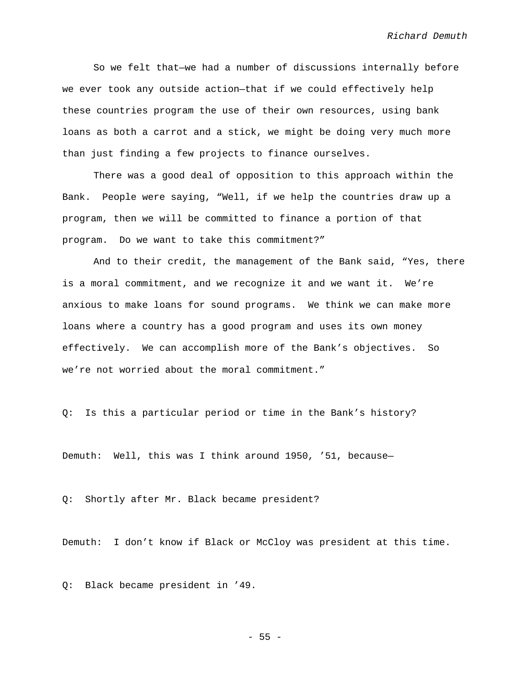So we felt that—we had a number of discussions internally before we ever took any outside action—that if we could effectively help these countries program the use of their own resources, using bank loans as both a carrot and a stick, we might be doing very much more than just finding a few projects to finance ourselves.

There was a good deal of opposition to this approach within the Bank. People were saying, "Well, if we help the countries draw up a program, then we will be committed to finance a portion of that program. Do we want to take this commitment?"

And to their credit, the management of the Bank said, "Yes, there is a moral commitment, and we recognize it and we want it. We're anxious to make loans for sound programs. We think we can make more loans where a country has a good program and uses its own money effectively. We can accomplish more of the Bank's objectives. So we're not worried about the moral commitment."

Q: Is this a particular period or time in the Bank's history?

Demuth: Well, this was I think around 1950, '51, because—

Q: Shortly after Mr. Black became president?

Demuth: I don't know if Black or McCloy was president at this time.

Q: Black became president in '49.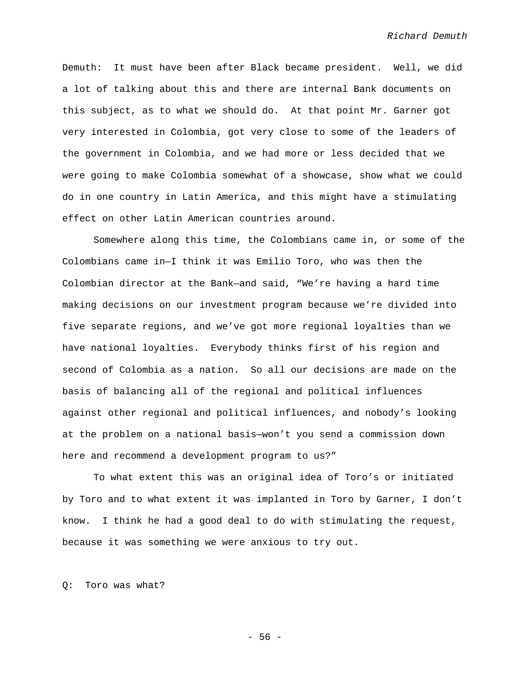Demuth: It must have been after Black became president. Well, we did a lot of talking about this and there are internal Bank documents on this subject, as to what we should do. At that point Mr. Garner got very interested in Colombia, got very close to some of the leaders of the government in Colombia, and we had more or less decided that we were going to make Colombia somewhat of a showcase, show what we could do in one country in Latin America, and this might have a stimulating effect on other Latin American countries around.

Somewhere along this time, the Colombians came in, or some of the Colombians came in—I think it was Emilio Toro, who was then the Colombian director at the Bank—and said, "We're having a hard time making decisions on our investment program because we're divided into five separate regions, and we've got more regional loyalties than we have national loyalties. Everybody thinks first of his region and second of Colombia as a nation. So all our decisions are made on the basis of balancing all of the regional and political influences against other regional and political influences, and nobody's looking at the problem on a national basis—won't you send a commission down here and recommend a development program to us?"

To what extent this was an original idea of Toro's or initiated by Toro and to what extent it was implanted in Toro by Garner, I don't know. I think he had a good deal to do with stimulating the request, because it was something we were anxious to try out.

Q: Toro was what?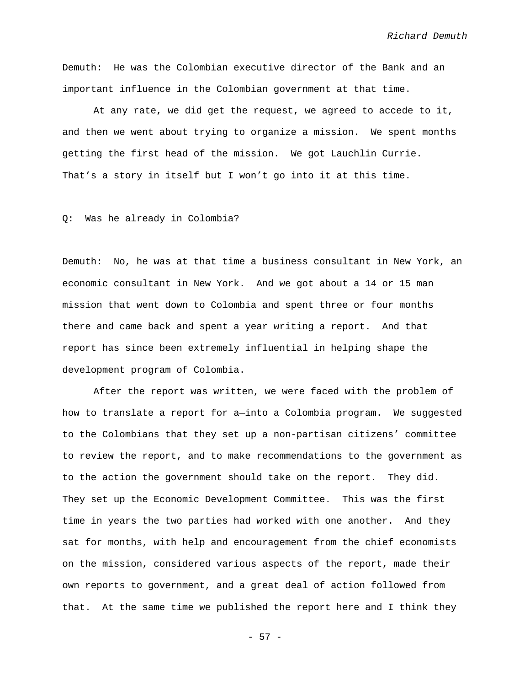Demuth: He was the Colombian executive director of the Bank and an important influence in the Colombian government at that time.

At any rate, we did get the request, we agreed to accede to it, and then we went about trying to organize a mission. We spent months getting the first head of the mission. We got Lauchlin Currie. That's a story in itself but I won't go into it at this time.

## Q: Was he already in Colombia?

Demuth: No, he was at that time a business consultant in New York, an economic consultant in New York. And we got about a 14 or 15 man mission that went down to Colombia and spent three or four months there and came back and spent a year writing a report. And that report has since been extremely influential in helping shape the development program of Colombia.

After the report was written, we were faced with the problem of how to translate a report for a—into a Colombia program. We suggested to the Colombians that they set up a non-partisan citizens' committee to review the report, and to make recommendations to the government as to the action the government should take on the report. They did. They set up the Economic Development Committee. This was the first time in years the two parties had worked with one another. And they sat for months, with help and encouragement from the chief economists on the mission, considered various aspects of the report, made their own reports to government, and a great deal of action followed from that. At the same time we published the report here and I think they

- 57 -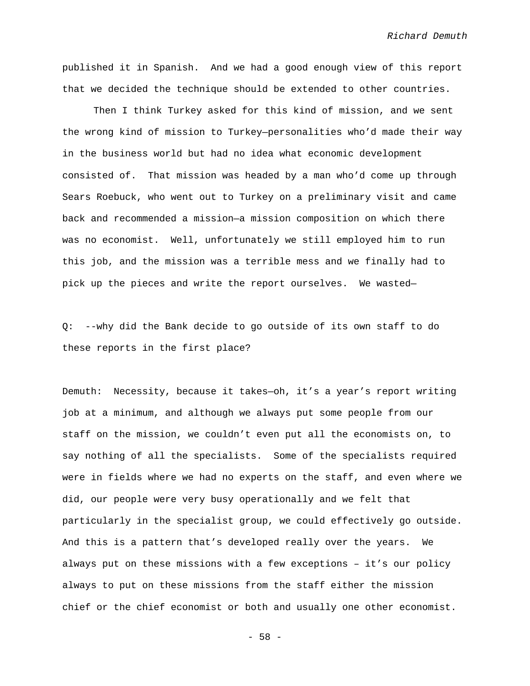published it in Spanish. And we had a good enough view of this report that we decided the technique should be extended to other countries.

Then I think Turkey asked for this kind of mission, and we sent the wrong kind of mission to Turkey—personalities who'd made their way in the business world but had no idea what economic development consisted of. That mission was headed by a man who'd come up through Sears Roebuck, who went out to Turkey on a preliminary visit and came back and recommended a mission—a mission composition on which there was no economist. Well, unfortunately we still employed him to run this job, and the mission was a terrible mess and we finally had to pick up the pieces and write the report ourselves. We wasted—

Q: --why did the Bank decide to go outside of its own staff to do these reports in the first place?

Demuth: Necessity, because it takes—oh, it's a year's report writing job at a minimum, and although we always put some people from our staff on the mission, we couldn't even put all the economists on, to say nothing of all the specialists. Some of the specialists required were in fields where we had no experts on the staff, and even where we did, our people were very busy operationally and we felt that particularly in the specialist group, we could effectively go outside. And this is a pattern that's developed really over the years. We always put on these missions with a few exceptions – it's our policy always to put on these missions from the staff either the mission chief or the chief economist or both and usually one other economist.

- 58 -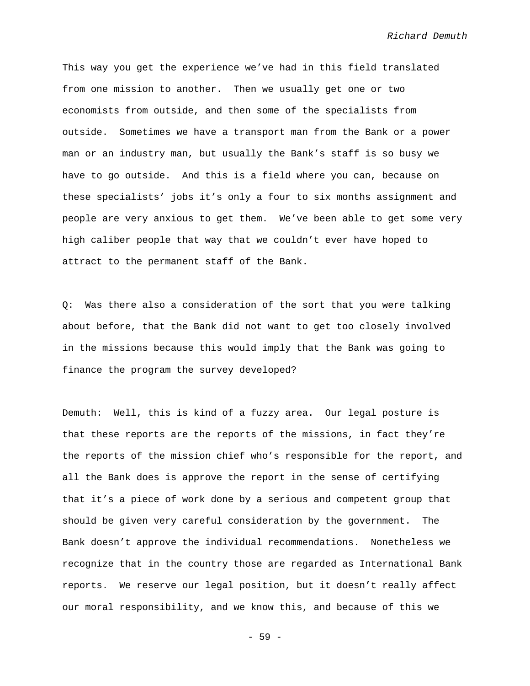This way you get the experience we've had in this field translated from one mission to another. Then we usually get one or two economists from outside, and then some of the specialists from outside. Sometimes we have a transport man from the Bank or a power man or an industry man, but usually the Bank's staff is so busy we have to go outside. And this is a field where you can, because on these specialists' jobs it's only a four to six months assignment and people are very anxious to get them. We've been able to get some very high caliber people that way that we couldn't ever have hoped to attract to the permanent staff of the Bank.

Q: Was there also a consideration of the sort that you were talking about before, that the Bank did not want to get too closely involved in the missions because this would imply that the Bank was going to finance the program the survey developed?

Demuth: Well, this is kind of a fuzzy area. Our legal posture is that these reports are the reports of the missions, in fact they're the reports of the mission chief who's responsible for the report, and all the Bank does is approve the report in the sense of certifying that it's a piece of work done by a serious and competent group that should be given very careful consideration by the government. The Bank doesn't approve the individual recommendations. Nonetheless we recognize that in the country those are regarded as International Bank reports. We reserve our legal position, but it doesn't really affect our moral responsibility, and we know this, and because of this we

- 59 -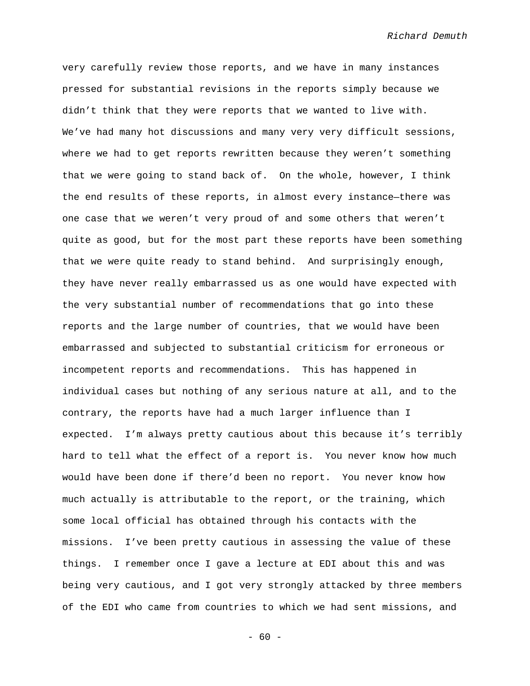very carefully review those reports, and we have in many instances pressed for substantial revisions in the reports simply because we didn't think that they were reports that we wanted to live with. We've had many hot discussions and many very very difficult sessions, where we had to get reports rewritten because they weren't something that we were going to stand back of. On the whole, however, I think the end results of these reports, in almost every instance—there was one case that we weren't very proud of and some others that weren't quite as good, but for the most part these reports have been something that we were quite ready to stand behind. And surprisingly enough, they have never really embarrassed us as one would have expected with the very substantial number of recommendations that go into these reports and the large number of countries, that we would have been embarrassed and subjected to substantial criticism for erroneous or incompetent reports and recommendations. This has happened in individual cases but nothing of any serious nature at all, and to the contrary, the reports have had a much larger influence than I expected. I'm always pretty cautious about this because it's terribly hard to tell what the effect of a report is. You never know how much would have been done if there'd been no report. You never know how much actually is attributable to the report, or the training, which some local official has obtained through his contacts with the missions. I've been pretty cautious in assessing the value of these things. I remember once I gave a lecture at EDI about this and was being very cautious, and I got very strongly attacked by three members of the EDI who came from countries to which we had sent missions, and

 $- 60 -$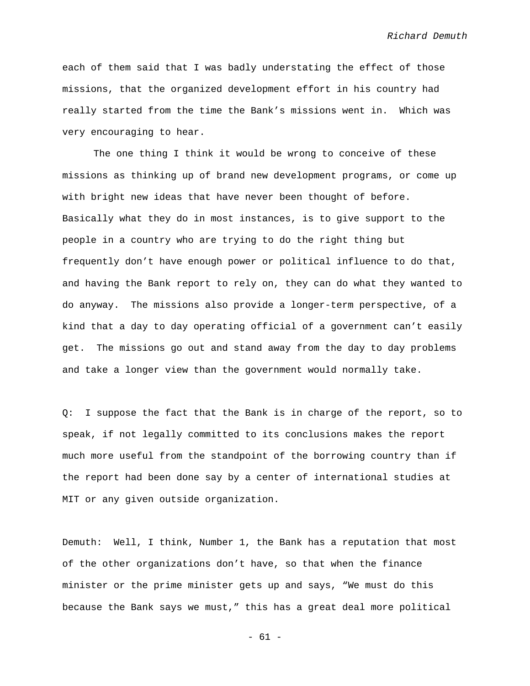each of them said that I was badly understating the effect of those missions, that the organized development effort in his country had really started from the time the Bank's missions went in. Which was very encouraging to hear.

The one thing I think it would be wrong to conceive of these missions as thinking up of brand new development programs, or come up with bright new ideas that have never been thought of before. Basically what they do in most instances, is to give support to the people in a country who are trying to do the right thing but frequently don't have enough power or political influence to do that, and having the Bank report to rely on, they can do what they wanted to do anyway. The missions also provide a longer-term perspective, of a kind that a day to day operating official of a government can't easily get. The missions go out and stand away from the day to day problems and take a longer view than the government would normally take.

Q: I suppose the fact that the Bank is in charge of the report, so to speak, if not legally committed to its conclusions makes the report much more useful from the standpoint of the borrowing country than if the report had been done say by a center of international studies at MIT or any given outside organization.

Demuth: Well, I think, Number 1, the Bank has a reputation that most of the other organizations don't have, so that when the finance minister or the prime minister gets up and says, "We must do this because the Bank says we must," this has a great deal more political

- 61 -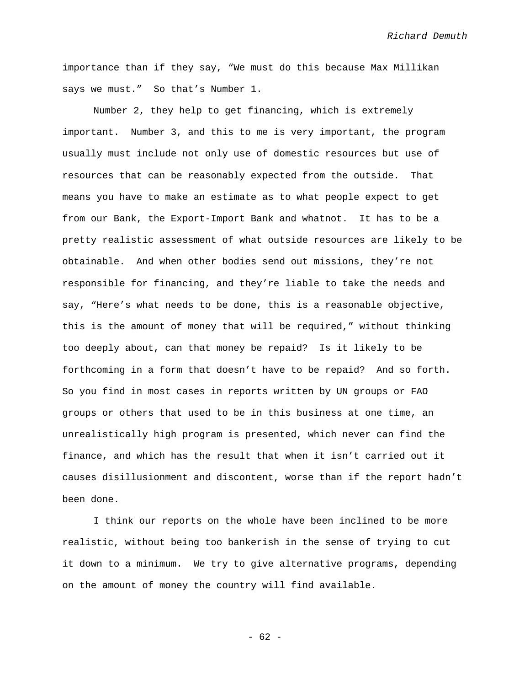importance than if they say, "We must do this because Max Millikan says we must." So that's Number 1.

Number 2, they help to get financing, which is extremely important. Number 3, and this to me is very important, the program usually must include not only use of domestic resources but use of resources that can be reasonably expected from the outside. That means you have to make an estimate as to what people expect to get from our Bank, the Export-Import Bank and whatnot. It has to be a pretty realistic assessment of what outside resources are likely to be obtainable. And when other bodies send out missions, they're not responsible for financing, and they're liable to take the needs and say, "Here's what needs to be done, this is a reasonable objective, this is the amount of money that will be required," without thinking too deeply about, can that money be repaid? Is it likely to be forthcoming in a form that doesn't have to be repaid? And so forth. So you find in most cases in reports written by UN groups or FAO groups or others that used to be in this business at one time, an unrealistically high program is presented, which never can find the finance, and which has the result that when it isn't carried out it causes disillusionment and discontent, worse than if the report hadn't been done.

I think our reports on the whole have been inclined to be more realistic, without being too bankerish in the sense of trying to cut it down to a minimum. We try to give alternative programs, depending on the amount of money the country will find available.

- 62 -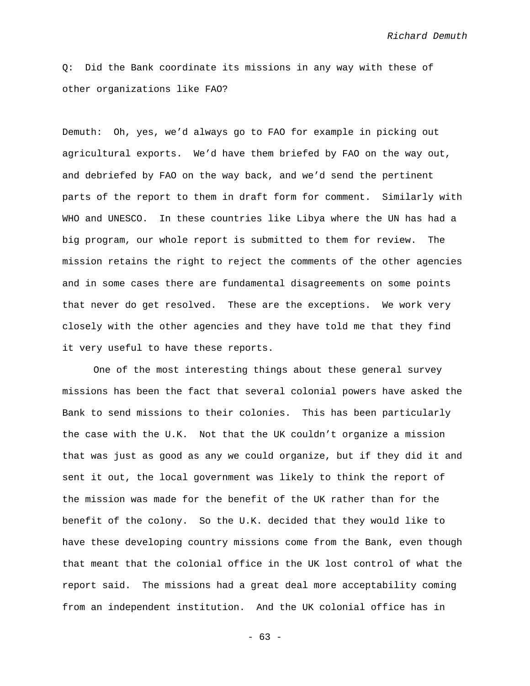Q: Did the Bank coordinate its missions in any way with these of other organizations like FAO?

Demuth: Oh, yes, we'd always go to FAO for example in picking out agricultural exports. We'd have them briefed by FAO on the way out, and debriefed by FAO on the way back, and we'd send the pertinent parts of the report to them in draft form for comment. Similarly with WHO and UNESCO. In these countries like Libya where the UN has had a big program, our whole report is submitted to them for review. The mission retains the right to reject the comments of the other agencies and in some cases there are fundamental disagreements on some points that never do get resolved. These are the exceptions. We work very closely with the other agencies and they have told me that they find it very useful to have these reports.

One of the most interesting things about these general survey missions has been the fact that several colonial powers have asked the Bank to send missions to their colonies. This has been particularly the case with the U.K. Not that the UK couldn't organize a mission that was just as good as any we could organize, but if they did it and sent it out, the local government was likely to think the report of the mission was made for the benefit of the UK rather than for the benefit of the colony. So the U.K. decided that they would like to have these developing country missions come from the Bank, even though that meant that the colonial office in the UK lost control of what the report said. The missions had a great deal more acceptability coming from an independent institution. And the UK colonial office has in

- 63 -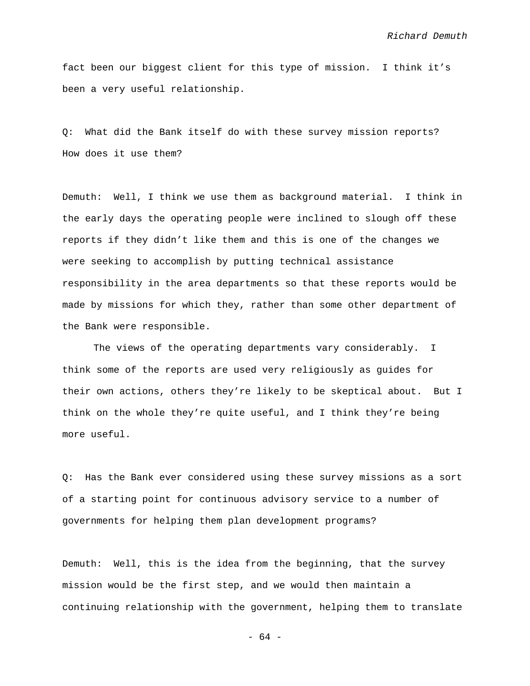fact been our biggest client for this type of mission. I think it's been a very useful relationship.

Q: What did the Bank itself do with these survey mission reports? How does it use them?

Demuth: Well, I think we use them as background material. I think in the early days the operating people were inclined to slough off these reports if they didn't like them and this is one of the changes we were seeking to accomplish by putting technical assistance responsibility in the area departments so that these reports would be made by missions for which they, rather than some other department of the Bank were responsible.

The views of the operating departments vary considerably. I think some of the reports are used very religiously as guides for their own actions, others they're likely to be skeptical about. But I think on the whole they're quite useful, and I think they're being more useful.

Q: Has the Bank ever considered using these survey missions as a sort of a starting point for continuous advisory service to a number of governments for helping them plan development programs?

Demuth: Well, this is the idea from the beginning, that the survey mission would be the first step, and we would then maintain a continuing relationship with the government, helping them to translate

- 64 -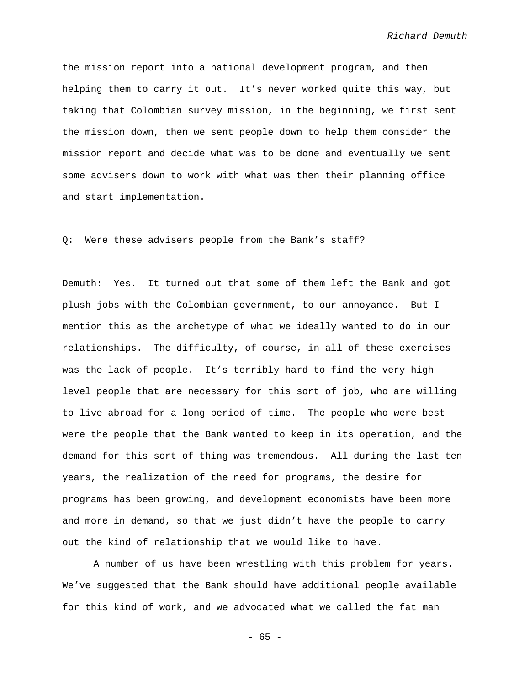the mission report into a national development program, and then helping them to carry it out. It's never worked quite this way, but taking that Colombian survey mission, in the beginning, we first sent the mission down, then we sent people down to help them consider the mission report and decide what was to be done and eventually we sent some advisers down to work with what was then their planning office and start implementation.

Q: Were these advisers people from the Bank's staff?

Demuth: Yes. It turned out that some of them left the Bank and got plush jobs with the Colombian government, to our annoyance. But I mention this as the archetype of what we ideally wanted to do in our relationships. The difficulty, of course, in all of these exercises was the lack of people. It's terribly hard to find the very high level people that are necessary for this sort of job, who are willing to live abroad for a long period of time. The people who were best were the people that the Bank wanted to keep in its operation, and the demand for this sort of thing was tremendous. All during the last ten years, the realization of the need for programs, the desire for programs has been growing, and development economists have been more and more in demand, so that we just didn't have the people to carry out the kind of relationship that we would like to have.

A number of us have been wrestling with this problem for years. We've suggested that the Bank should have additional people available for this kind of work, and we advocated what we called the fat man

- 65 -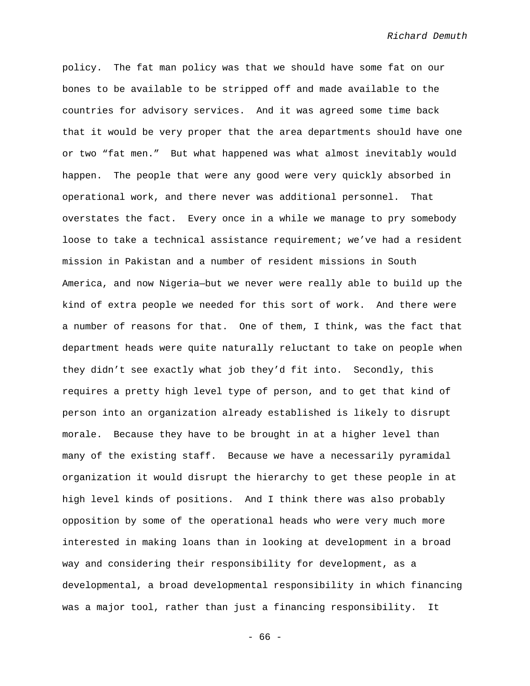policy. The fat man policy was that we should have some fat on our bones to be available to be stripped off and made available to the countries for advisory services. And it was agreed some time back that it would be very proper that the area departments should have one or two "fat men." But what happened was what almost inevitably would happen. The people that were any good were very quickly absorbed in operational work, and there never was additional personnel. That overstates the fact. Every once in a while we manage to pry somebody loose to take a technical assistance requirement; we've had a resident mission in Pakistan and a number of resident missions in South America, and now Nigeria—but we never were really able to build up the kind of extra people we needed for this sort of work. And there were a number of reasons for that. One of them, I think, was the fact that department heads were quite naturally reluctant to take on people when they didn't see exactly what job they'd fit into. Secondly, this requires a pretty high level type of person, and to get that kind of person into an organization already established is likely to disrupt morale. Because they have to be brought in at a higher level than many of the existing staff. Because we have a necessarily pyramidal organization it would disrupt the hierarchy to get these people in at high level kinds of positions. And I think there was also probably opposition by some of the operational heads who were very much more interested in making loans than in looking at development in a broad way and considering their responsibility for development, as a developmental, a broad developmental responsibility in which financing was a major tool, rather than just a financing responsibility. It

- 66 -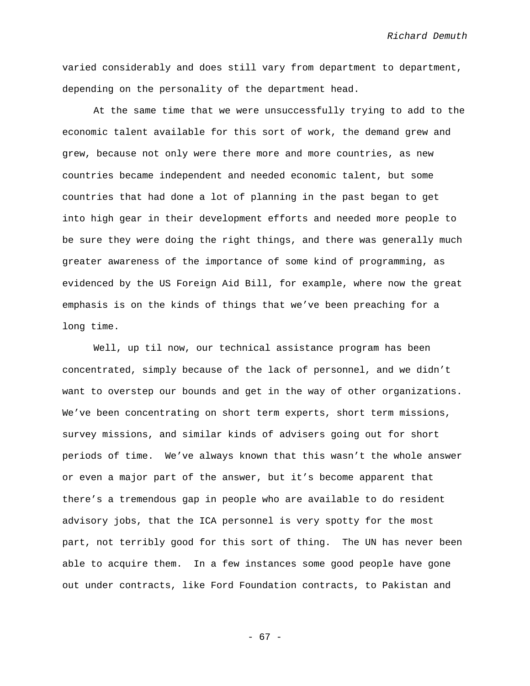varied considerably and does still vary from department to department, depending on the personality of the department head.

At the same time that we were unsuccessfully trying to add to the economic talent available for this sort of work, the demand grew and grew, because not only were there more and more countries, as new countries became independent and needed economic talent, but some countries that had done a lot of planning in the past began to get into high gear in their development efforts and needed more people to be sure they were doing the right things, and there was generally much greater awareness of the importance of some kind of programming, as evidenced by the US Foreign Aid Bill, for example, where now the great emphasis is on the kinds of things that we've been preaching for a long time.

Well, up til now, our technical assistance program has been concentrated, simply because of the lack of personnel, and we didn't want to overstep our bounds and get in the way of other organizations. We've been concentrating on short term experts, short term missions, survey missions, and similar kinds of advisers going out for short periods of time. We've always known that this wasn't the whole answer or even a major part of the answer, but it's become apparent that there's a tremendous gap in people who are available to do resident advisory jobs, that the ICA personnel is very spotty for the most part, not terribly good for this sort of thing. The UN has never been able to acquire them. In a few instances some good people have gone out under contracts, like Ford Foundation contracts, to Pakistan and

- 67 -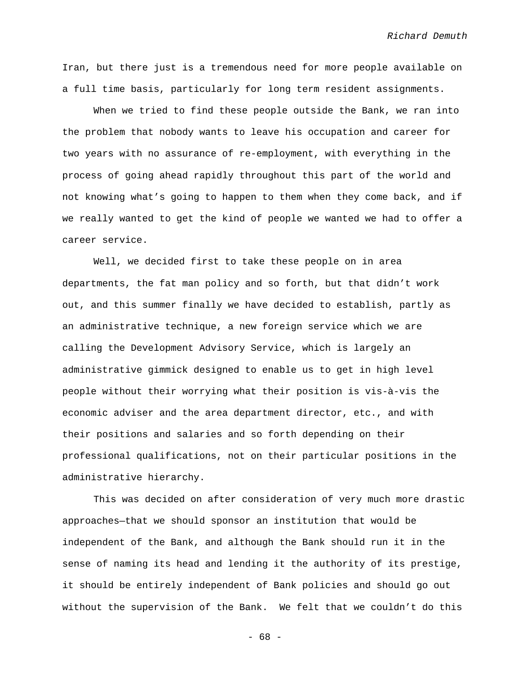Iran, but there just is a tremendous need for more people available on a full time basis, particularly for long term resident assignments.

When we tried to find these people outside the Bank, we ran into the problem that nobody wants to leave his occupation and career for two years with no assurance of re-employment, with everything in the process of going ahead rapidly throughout this part of the world and not knowing what's going to happen to them when they come back, and if we really wanted to get the kind of people we wanted we had to offer a career service.

Well, we decided first to take these people on in area departments, the fat man policy and so forth, but that didn't work out, and this summer finally we have decided to establish, partly as an administrative technique, a new foreign service which we are calling the Development Advisory Service, which is largely an administrative gimmick designed to enable us to get in high level people without their worrying what their position is vis-à-vis the economic adviser and the area department director, etc., and with their positions and salaries and so forth depending on their professional qualifications, not on their particular positions in the administrative hierarchy.

This was decided on after consideration of very much more drastic approaches—that we should sponsor an institution that would be independent of the Bank, and although the Bank should run it in the sense of naming its head and lending it the authority of its prestige, it should be entirely independent of Bank policies and should go out without the supervision of the Bank. We felt that we couldn't do this

- 68 -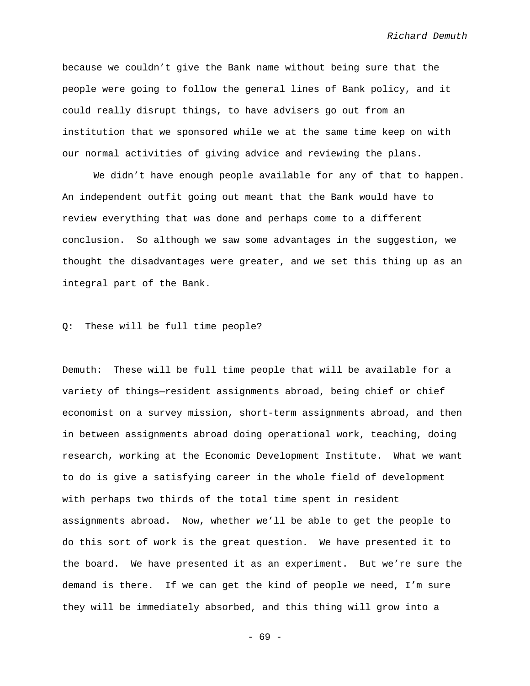because we couldn't give the Bank name without being sure that the people were going to follow the general lines of Bank policy, and it could really disrupt things, to have advisers go out from an institution that we sponsored while we at the same time keep on with our normal activities of giving advice and reviewing the plans.

We didn't have enough people available for any of that to happen. An independent outfit going out meant that the Bank would have to review everything that was done and perhaps come to a different conclusion. So although we saw some advantages in the suggestion, we thought the disadvantages were greater, and we set this thing up as an integral part of the Bank.

## Q: These will be full time people?

Demuth: These will be full time people that will be available for a variety of things—resident assignments abroad, being chief or chief economist on a survey mission, short-term assignments abroad, and then in between assignments abroad doing operational work, teaching, doing research, working at the Economic Development Institute. What we want to do is give a satisfying career in the whole field of development with perhaps two thirds of the total time spent in resident assignments abroad. Now, whether we'll be able to get the people to do this sort of work is the great question. We have presented it to the board. We have presented it as an experiment. But we're sure the demand is there. If we can get the kind of people we need, I'm sure they will be immediately absorbed, and this thing will grow into a

- 69 -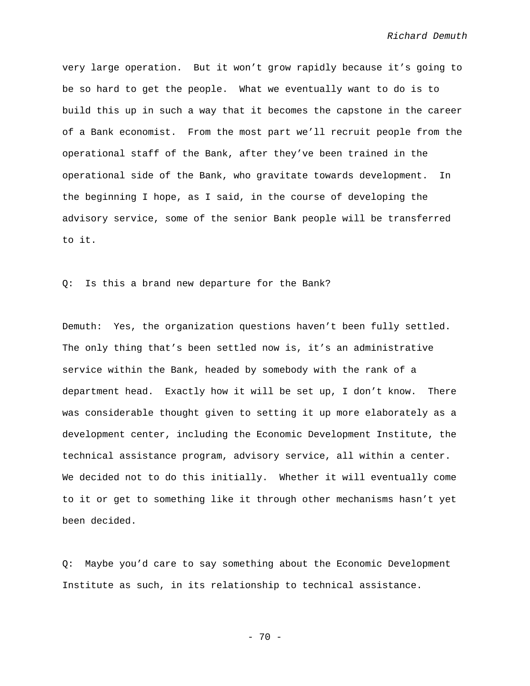very large operation. But it won't grow rapidly because it's going to be so hard to get the people. What we eventually want to do is to build this up in such a way that it becomes the capstone in the career of a Bank economist. From the most part we'll recruit people from the operational staff of the Bank, after they've been trained in the operational side of the Bank, who gravitate towards development. In the beginning I hope, as I said, in the course of developing the advisory service, some of the senior Bank people will be transferred to it.

Q: Is this a brand new departure for the Bank?

Demuth: Yes, the organization questions haven't been fully settled. The only thing that's been settled now is, it's an administrative service within the Bank, headed by somebody with the rank of a department head. Exactly how it will be set up, I don't know. There was considerable thought given to setting it up more elaborately as a development center, including the Economic Development Institute, the technical assistance program, advisory service, all within a center. We decided not to do this initially. Whether it will eventually come to it or get to something like it through other mechanisms hasn't yet been decided.

Q: Maybe you'd care to say something about the Economic Development Institute as such, in its relationship to technical assistance.

- 70 -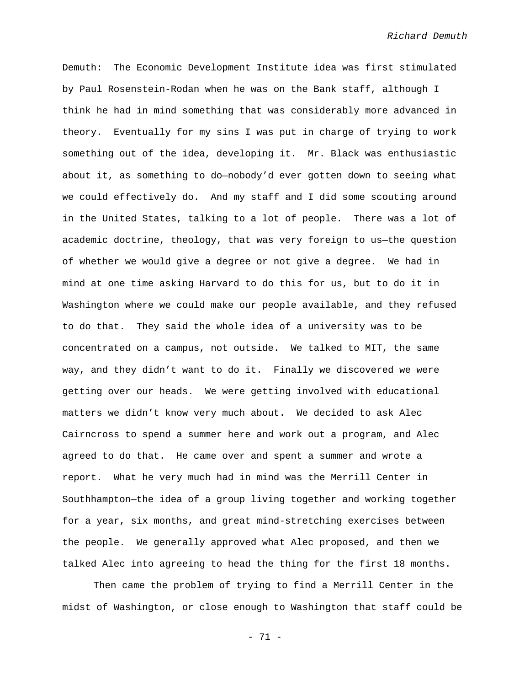Demuth: The Economic Development Institute idea was first stimulated by Paul Rosenstein-Rodan when he was on the Bank staff, although I think he had in mind something that was considerably more advanced in theory. Eventually for my sins I was put in charge of trying to work something out of the idea, developing it. Mr. Black was enthusiastic about it, as something to do—nobody'd ever gotten down to seeing what we could effectively do. And my staff and I did some scouting around in the United States, talking to a lot of people. There was a lot of academic doctrine, theology, that was very foreign to us—the question of whether we would give a degree or not give a degree. We had in mind at one time asking Harvard to do this for us, but to do it in Washington where we could make our people available, and they refused to do that. They said the whole idea of a university was to be concentrated on a campus, not outside. We talked to MIT, the same way, and they didn't want to do it. Finally we discovered we were getting over our heads. We were getting involved with educational matters we didn't know very much about. We decided to ask Alec Cairncross to spend a summer here and work out a program, and Alec agreed to do that. He came over and spent a summer and wrote a report. What he very much had in mind was the Merrill Center in Southhampton—the idea of a group living together and working together for a year, six months, and great mind-stretching exercises between the people. We generally approved what Alec proposed, and then we talked Alec into agreeing to head the thing for the first 18 months.

Then came the problem of trying to find a Merrill Center in the midst of Washington, or close enough to Washington that staff could be

- 71 -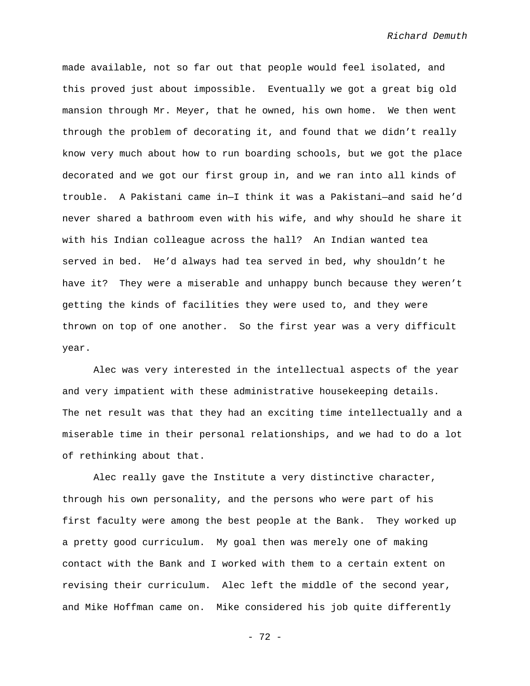made available, not so far out that people would feel isolated, and this proved just about impossible. Eventually we got a great big old mansion through Mr. Meyer, that he owned, his own home. We then went through the problem of decorating it, and found that we didn't really know very much about how to run boarding schools, but we got the place decorated and we got our first group in, and we ran into all kinds of trouble. A Pakistani came in—I think it was a Pakistani—and said he'd never shared a bathroom even with his wife, and why should he share it with his Indian colleague across the hall? An Indian wanted tea served in bed. He'd always had tea served in bed, why shouldn't he have it? They were a miserable and unhappy bunch because they weren't getting the kinds of facilities they were used to, and they were thrown on top of one another. So the first year was a very difficult year.

Alec was very interested in the intellectual aspects of the year and very impatient with these administrative housekeeping details. The net result was that they had an exciting time intellectually and a miserable time in their personal relationships, and we had to do a lot of rethinking about that.

Alec really gave the Institute a very distinctive character, through his own personality, and the persons who were part of his first faculty were among the best people at the Bank. They worked up a pretty good curriculum. My goal then was merely one of making contact with the Bank and I worked with them to a certain extent on revising their curriculum. Alec left the middle of the second year, and Mike Hoffman came on. Mike considered his job quite differently

- 72 -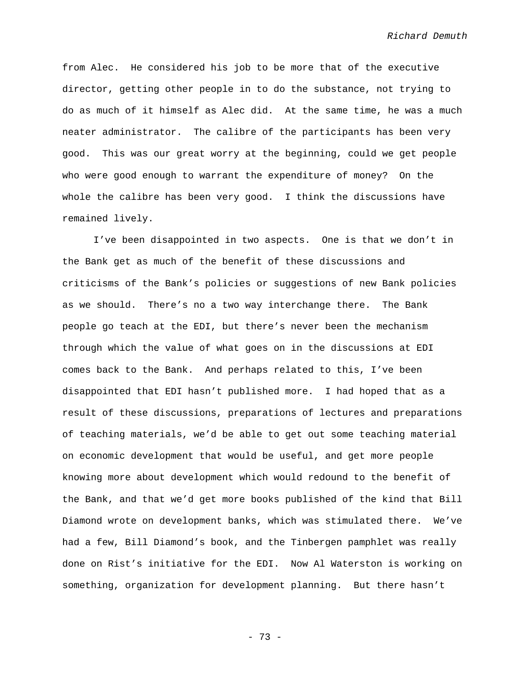from Alec. He considered his job to be more that of the executive director, getting other people in to do the substance, not trying to do as much of it himself as Alec did. At the same time, he was a much neater administrator. The calibre of the participants has been very good. This was our great worry at the beginning, could we get people who were good enough to warrant the expenditure of money? On the whole the calibre has been very good. I think the discussions have remained lively.

I've been disappointed in two aspects. One is that we don't in the Bank get as much of the benefit of these discussions and criticisms of the Bank's policies or suggestions of new Bank policies as we should. There's no a two way interchange there. The Bank people go teach at the EDI, but there's never been the mechanism through which the value of what goes on in the discussions at EDI comes back to the Bank. And perhaps related to this, I've been disappointed that EDI hasn't published more. I had hoped that as a result of these discussions, preparations of lectures and preparations of teaching materials, we'd be able to get out some teaching material on economic development that would be useful, and get more people knowing more about development which would redound to the benefit of the Bank, and that we'd get more books published of the kind that Bill Diamond wrote on development banks, which was stimulated there. We've had a few, Bill Diamond's book, and the Tinbergen pamphlet was really done on Rist's initiative for the EDI. Now Al Waterston is working on something, organization for development planning. But there hasn't

- 73 -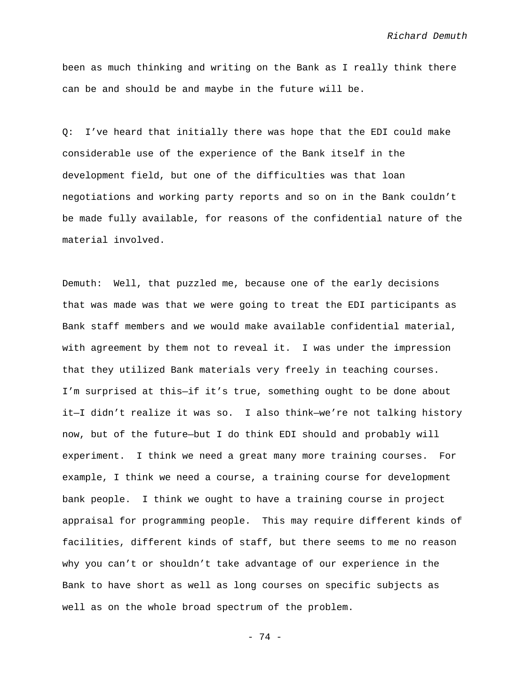been as much thinking and writing on the Bank as I really think there can be and should be and maybe in the future will be.

Q: I've heard that initially there was hope that the EDI could make considerable use of the experience of the Bank itself in the development field, but one of the difficulties was that loan negotiations and working party reports and so on in the Bank couldn't be made fully available, for reasons of the confidential nature of the material involved.

Demuth: Well, that puzzled me, because one of the early decisions that was made was that we were going to treat the EDI participants as Bank staff members and we would make available confidential material, with agreement by them not to reveal it. I was under the impression that they utilized Bank materials very freely in teaching courses. I'm surprised at this—if it's true, something ought to be done about it—I didn't realize it was so. I also think—we're not talking history now, but of the future—but I do think EDI should and probably will experiment. I think we need a great many more training courses. For example, I think we need a course, a training course for development bank people. I think we ought to have a training course in project appraisal for programming people. This may require different kinds of facilities, different kinds of staff, but there seems to me no reason why you can't or shouldn't take advantage of our experience in the Bank to have short as well as long courses on specific subjects as well as on the whole broad spectrum of the problem.

- 74 -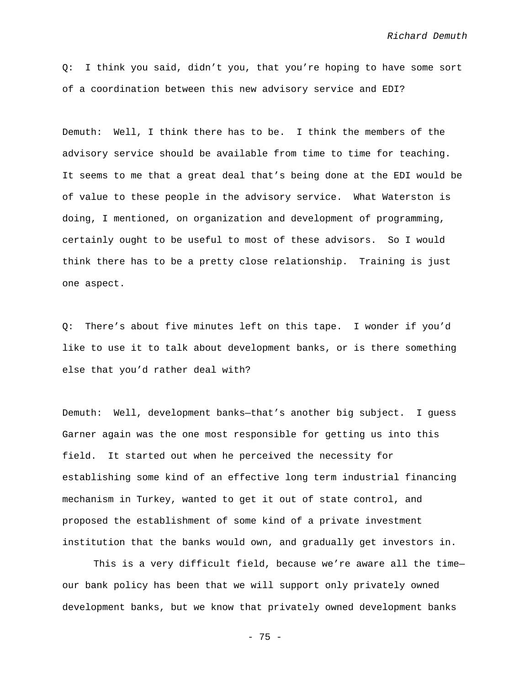Q: I think you said, didn't you, that you're hoping to have some sort of a coordination between this new advisory service and EDI?

Demuth: Well, I think there has to be. I think the members of the advisory service should be available from time to time for teaching. It seems to me that a great deal that's being done at the EDI would be of value to these people in the advisory service. What Waterston is doing, I mentioned, on organization and development of programming, certainly ought to be useful to most of these advisors. So I would think there has to be a pretty close relationship. Training is just one aspect.

Q: There's about five minutes left on this tape. I wonder if you'd like to use it to talk about development banks, or is there something else that you'd rather deal with?

Demuth: Well, development banks—that's another big subject. I guess Garner again was the one most responsible for getting us into this field. It started out when he perceived the necessity for establishing some kind of an effective long term industrial financing mechanism in Turkey, wanted to get it out of state control, and proposed the establishment of some kind of a private investment institution that the banks would own, and gradually get investors in.

This is a very difficult field, because we're aware all the time our bank policy has been that we will support only privately owned development banks, but we know that privately owned development banks

- 75 -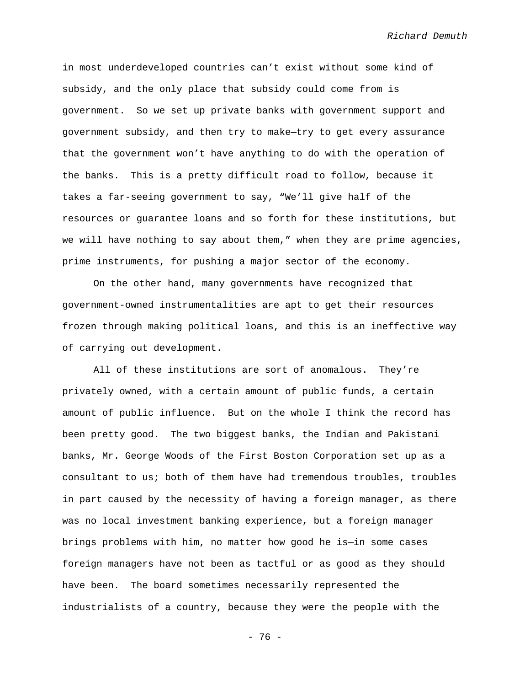in most underdeveloped countries can't exist without some kind of subsidy, and the only place that subsidy could come from is government. So we set up private banks with government support and government subsidy, and then try to make—try to get every assurance that the government won't have anything to do with the operation of the banks. This is a pretty difficult road to follow, because it takes a far-seeing government to say, "We'll give half of the resources or guarantee loans and so forth for these institutions, but we will have nothing to say about them," when they are prime agencies, prime instruments, for pushing a major sector of the economy.

On the other hand, many governments have recognized that government-owned instrumentalities are apt to get their resources frozen through making political loans, and this is an ineffective way of carrying out development.

All of these institutions are sort of anomalous. They're privately owned, with a certain amount of public funds, a certain amount of public influence. But on the whole I think the record has been pretty good. The two biggest banks, the Indian and Pakistani banks, Mr. George Woods of the First Boston Corporation set up as a consultant to us; both of them have had tremendous troubles, troubles in part caused by the necessity of having a foreign manager, as there was no local investment banking experience, but a foreign manager brings problems with him, no matter how good he is—in some cases foreign managers have not been as tactful or as good as they should have been. The board sometimes necessarily represented the industrialists of a country, because they were the people with the

- 76 -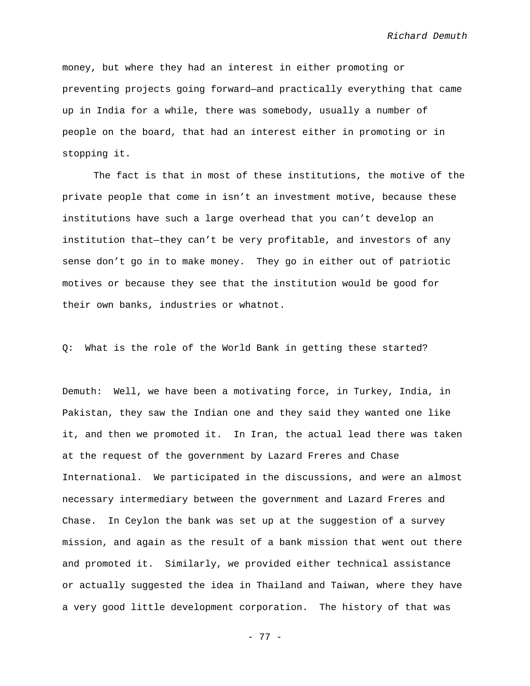money, but where they had an interest in either promoting or preventing projects going forward—and practically everything that came up in India for a while, there was somebody, usually a number of people on the board, that had an interest either in promoting or in stopping it.

The fact is that in most of these institutions, the motive of the private people that come in isn't an investment motive, because these institutions have such a large overhead that you can't develop an institution that—they can't be very profitable, and investors of any sense don't go in to make money. They go in either out of patriotic motives or because they see that the institution would be good for their own banks, industries or whatnot.

Q: What is the role of the World Bank in getting these started?

Demuth: Well, we have been a motivating force, in Turkey, India, in Pakistan, they saw the Indian one and they said they wanted one like it, and then we promoted it. In Iran, the actual lead there was taken at the request of the government by Lazard Freres and Chase International. We participated in the discussions, and were an almost necessary intermediary between the government and Lazard Freres and Chase. In Ceylon the bank was set up at the suggestion of a survey mission, and again as the result of a bank mission that went out there and promoted it. Similarly, we provided either technical assistance or actually suggested the idea in Thailand and Taiwan, where they have a very good little development corporation. The history of that was

- 77 -